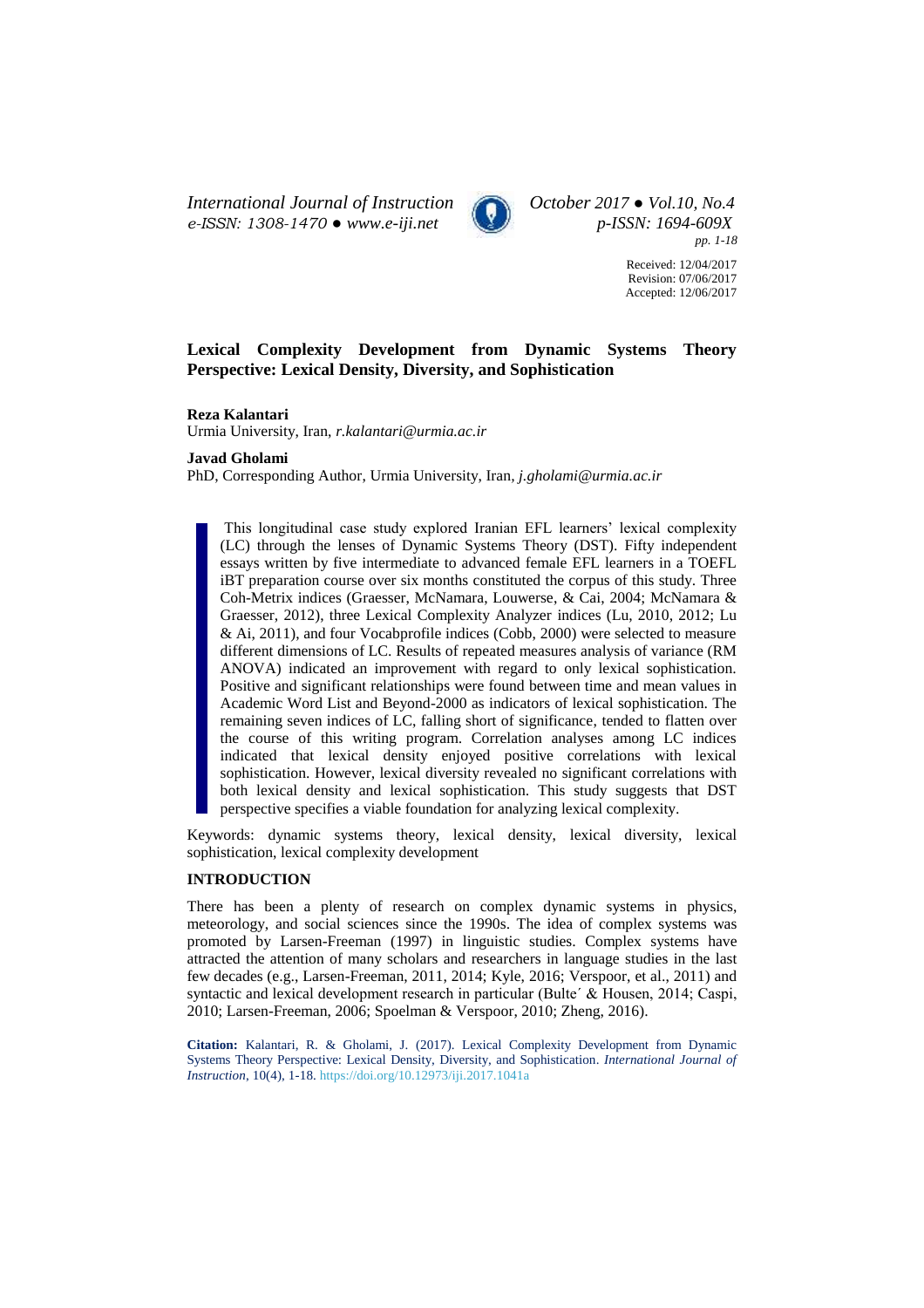*International Journal of Instruction October 2017 ● Vol.10, No.4 e-ISSN: 1308-1470 ● [www.e-iji.net](http://www.e-iji.net/) p-ISSN: 1694-609X*



*pp. 1-18*

Received: 12/04/2017 Revision: 07/06/2017 Accepted: 12/06/2017

# **Lexical Complexity Development from Dynamic Systems Theory Perspective: Lexical Density, Diversity, and Sophistication**

## **Reza Kalantari**

Urmia University, Iran, *[r.kalantari@urmia.ac.ir](mailto:r.kalantari@urmia.ac.ir)*

## **Javad Gholami**

PhD, Corresponding Author, Urmia University, Iran*, j.gholami@urmia.ac.ir*

This longitudinal case study explored Iranian EFL learners' lexical complexity (LC) through the lenses of Dynamic Systems Theory (DST). Fifty independent essays written by five intermediate to advanced female EFL learners in a TOEFL iBT preparation course over six months constituted the corpus of this study. Three Coh-Metrix indices (Graesser, McNamara, Louwerse, & Cai, 2004; McNamara & Graesser, 2012), three Lexical Complexity Analyzer indices (Lu, 2010, 2012; Lu & Ai, 2011), and four Vocabprofile indices (Cobb, 2000) were selected to measure different dimensions of LC. Results of repeated measures analysis of variance (RM ANOVA) indicated an improvement with regard to only lexical sophistication. Positive and significant relationships were found between time and mean values in Academic Word List and Beyond-2000 as indicators of lexical sophistication. The remaining seven indices of LC, falling short of significance, tended to flatten over the course of this writing program. Correlation analyses among LC indices indicated that lexical density enjoyed positive correlations with lexical sophistication. However, lexical diversity revealed no significant correlations with both lexical density and lexical sophistication. This study suggests that DST perspective specifies a viable foundation for analyzing lexical complexity.

Keywords: dynamic systems theory, lexical density, lexical diversity, lexical sophistication, lexical complexity development

## **INTRODUCTION**

There has been a plenty of research on complex dynamic systems in physics, meteorology, and social sciences since the 1990s. The idea of complex systems was promoted by Larsen-Freeman (1997) in linguistic studies. Complex systems have attracted the attention of many scholars and researchers in language studies in the last few decades (e.g., Larsen-Freeman, 2011, 2014; Kyle, 2016; Verspoor, et al., 2011) and syntactic and lexical development research in particular (Bulte' & Housen, 2014; Caspi, 2010; Larsen-Freeman, 2006; Spoelman & Verspoor, 2010; Zheng, 2016).

**Citation:** Kalantari, R. & Gholami, J. (2017). Lexical Complexity Development from Dynamic Systems Theory Perspective: Lexical Density, Diversity, and Sophistication. *International Journal of Instruction*, 10(4), 1-18.<https://doi.org/10.12973/iji.2017.1041a>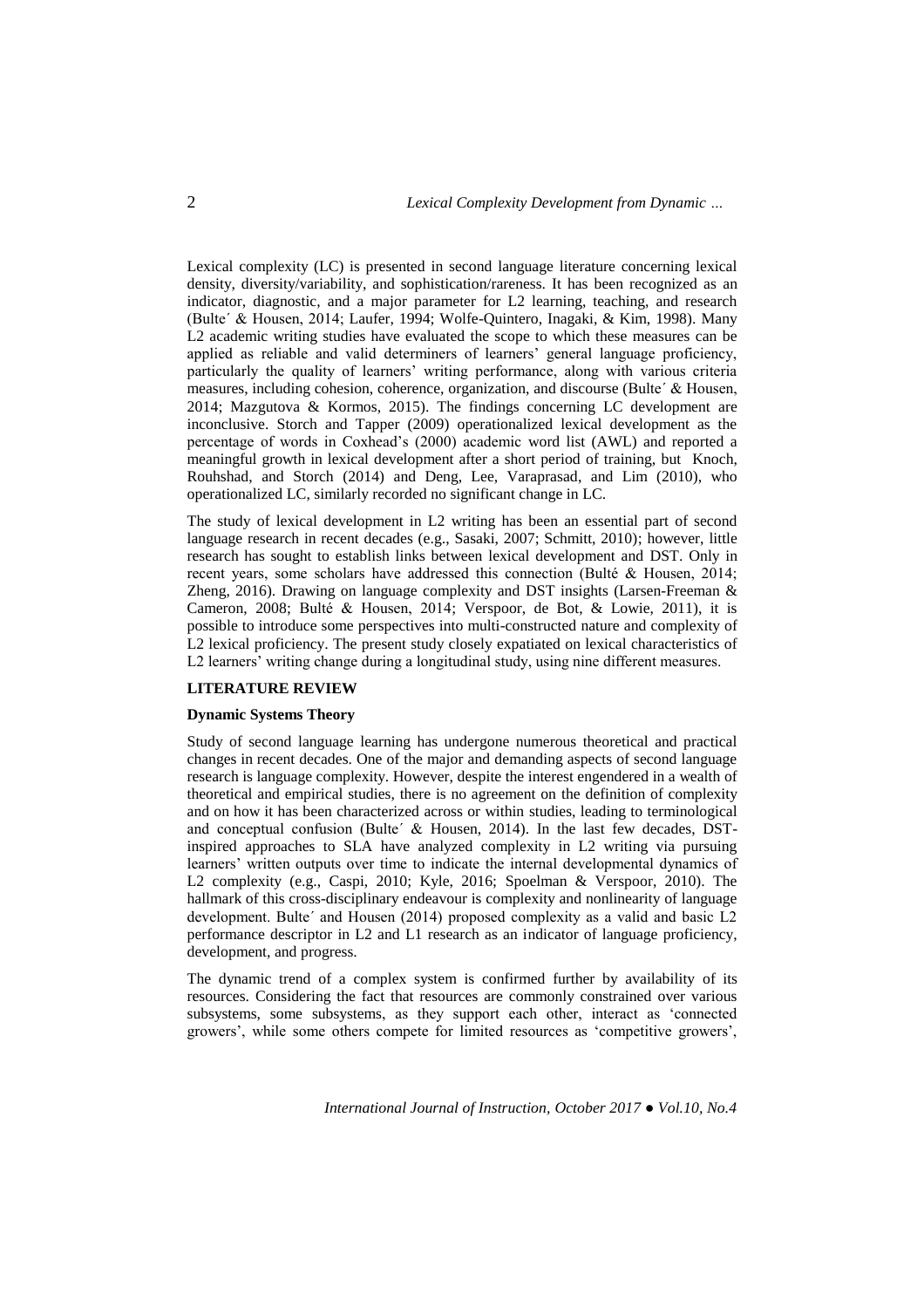Lexical complexity (LC) is presented in second language literature concerning lexical density, diversity/variability, and sophistication/rareness. It has been recognized as an indicator, diagnostic, and a major parameter for L2 learning, teaching, and research (Bulte´ & Housen, 2014; Laufer, 1994; Wolfe-Quintero, Inagaki, & Kim, 1998). Many L2 academic writing studies have evaluated the scope to which these measures can be applied as reliable and valid determiners of learners' general language proficiency, particularly the quality of learners' writing performance, along with various criteria measures, including cohesion, coherence, organization, and discourse (Bulte´ & Housen, 2014; Mazgutova & Kormos, 2015). The findings concerning LC development are inconclusive. Storch and Tapper (2009) operationalized lexical development as the percentage of words in Coxhead's (2000) academic word list (AWL) and reported a meaningful growth in lexical development after a short period of training, but Knoch, Rouhshad, and Storch (2014) and Deng, Lee, Varaprasad, and Lim (2010), who operationalized LC, similarly recorded no significant change in LC.

The study of lexical development in L2 writing has been an essential part of second language research in recent decades (e.g., Sasaki, 2007; Schmitt, 2010); however, little research has sought to establish links between lexical development and DST. Only in recent years, some scholars have addressed this connection (Bulté & Housen, 2014; Zheng, 2016). Drawing on language complexity and DST insights (Larsen-Freeman & Cameron, 2008; Bulté & Housen, 2014; Verspoor, de Bot, & Lowie, 2011), it is possible to introduce some perspectives into multi-constructed nature and complexity of L2 lexical proficiency. The present study closely expatiated on lexical characteristics of L2 learners' writing change during a longitudinal study, using nine different measures.

# **LITERATURE REVIEW**

#### **Dynamic Systems Theory**

Study of second language learning has undergone numerous theoretical and practical changes in recent decades. One of the major and demanding aspects of second language research is language complexity. However, despite the interest engendered in a wealth of theoretical and empirical studies, there is no agreement on the definition of complexity and on how it has been characterized across or within studies, leading to terminological and conceptual confusion (Bulte´ & Housen, 2014). In the last few decades, DSTinspired approaches to SLA have analyzed complexity in L2 writing via pursuing learners' written outputs over time to indicate the internal developmental dynamics of L2 complexity (e.g., Caspi, 2010; Kyle, 2016; Spoelman & Verspoor, 2010). The hallmark of this cross-disciplinary endeavour is complexity and nonlinearity of language development. Bulte´ and Housen (2014) proposed complexity as a valid and basic L2 performance descriptor in L2 and L1 research as an indicator of language proficiency, development, and progress.

The dynamic trend of a complex system is confirmed further by availability of its resources. Considering the fact that resources are commonly constrained over various subsystems, some subsystems, as they support each other, interact as 'connected growers', while some others compete for limited resources as 'competitive growers',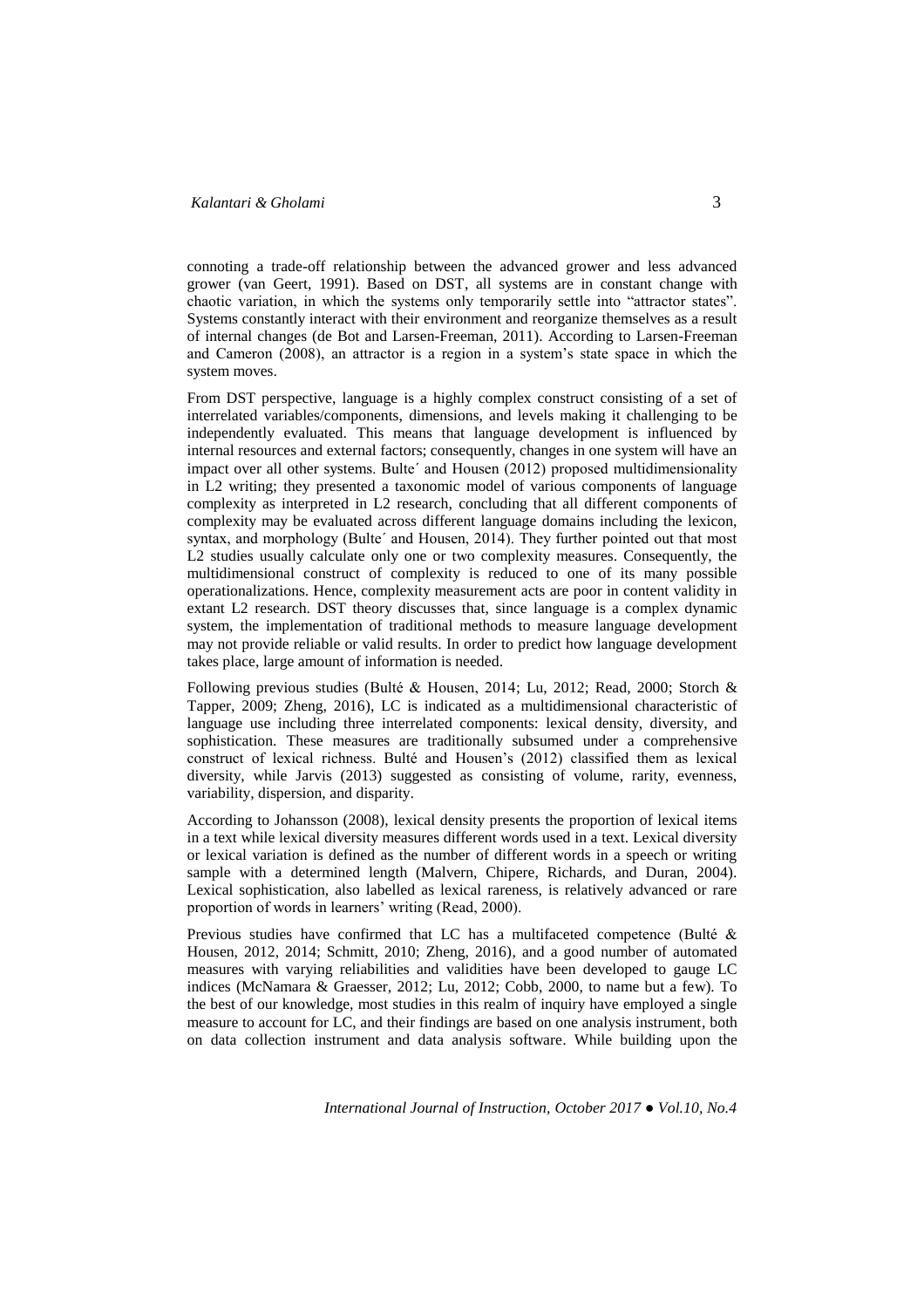connoting a trade-off relationship between the advanced grower and less advanced grower (van Geert, 1991). Based on DST, all systems are in constant change with chaotic variation, in which the systems only temporarily settle into "attractor states". Systems constantly interact with their environment and reorganize themselves as a result of internal changes (de Bot and Larsen-Freeman, 2011). According to Larsen-Freeman and Cameron (2008), an attractor is a region in a system's state space in which the system moves.

From DST perspective, language is a highly complex construct consisting of a set of interrelated variables/components, dimensions, and levels making it challenging to be independently evaluated. This means that language development is influenced by internal resources and external factors; consequently, changes in one system will have an impact over all other systems. Bulte´ and Housen (2012) proposed multidimensionality in L2 writing; they presented a taxonomic model of various components of language complexity as interpreted in L2 research, concluding that all different components of complexity may be evaluated across different language domains including the lexicon, syntax, and morphology (Bulte´ and Housen, 2014). They further pointed out that most L2 studies usually calculate only one or two complexity measures. Consequently, the multidimensional construct of complexity is reduced to one of its many possible operationalizations. Hence, complexity measurement acts are poor in content validity in extant L2 research. DST theory discusses that, since language is a complex dynamic system, the implementation of traditional methods to measure language development may not provide reliable or valid results. In order to predict how language development takes place, large amount of information is needed.

Following previous studies (Bulté & Housen, 2014; Lu, 2012; Read, 2000; Storch & Tapper, 2009; Zheng, 2016), LC is indicated as a multidimensional characteristic of language use including three interrelated components: lexical density, diversity, and sophistication. These measures are traditionally subsumed under a comprehensive construct of lexical richness. Bulté and Housen's (2012) classified them as lexical diversity, while Jarvis (2013) suggested as consisting of volume, rarity, evenness, variability, dispersion, and disparity.

According to Johansson (2008), lexical density presents the proportion of lexical items in a text while lexical diversity measures different words used in a text. Lexical diversity or lexical variation is defined as the number of different words in a speech or writing sample with a determined length (Malvern, Chipere, Richards, and Duran, 2004). Lexical sophistication, also labelled as lexical rareness, is relatively advanced or rare proportion of words in learners' writing (Read, 2000).

Previous studies have confirmed that LC has a multifaceted competence (Bulté & Housen, 2012, 2014; Schmitt, 2010; Zheng, 2016), and a good number of automated measures with varying reliabilities and validities have been developed to gauge LC indices (McNamara & Graesser, 2012; Lu, 2012; Cobb, 2000, to name but a few). To the best of our knowledge, most studies in this realm of inquiry have employed a single measure to account for LC, and their findings are based on one analysis instrument, both on data collection instrument and data analysis software. While building upon the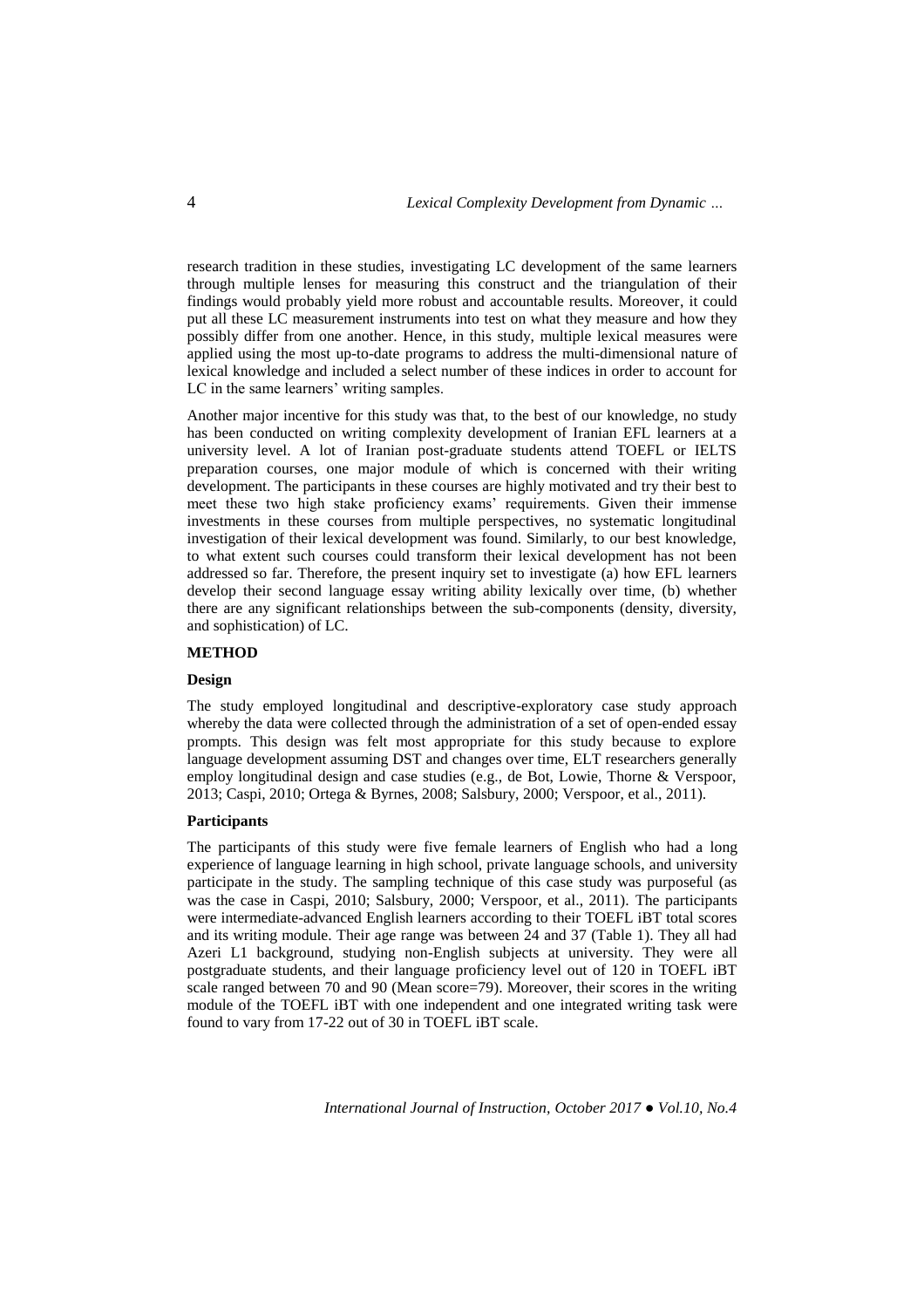research tradition in these studies, investigating LC development of the same learners through multiple lenses for measuring this construct and the triangulation of their findings would probably yield more robust and accountable results. Moreover, it could put all these LC measurement instruments into test on what they measure and how they possibly differ from one another. Hence, in this study, multiple lexical measures were applied using the most up-to-date programs to address the multi-dimensional nature of lexical knowledge and included a select number of these indices in order to account for LC in the same learners' writing samples.

Another major incentive for this study was that, to the best of our knowledge, no study has been conducted on writing complexity development of Iranian EFL learners at a university level. A lot of Iranian post-graduate students attend TOEFL or IELTS preparation courses, one major module of which is concerned with their writing development. The participants in these courses are highly motivated and try their best to meet these two high stake proficiency exams' requirements. Given their immense investments in these courses from multiple perspectives, no systematic longitudinal investigation of their lexical development was found. Similarly, to our best knowledge, to what extent such courses could transform their lexical development has not been addressed so far. Therefore, the present inquiry set to investigate (a) how EFL learners develop their second language essay writing ability lexically over time, (b) whether there are any significant relationships between the sub-components (density, diversity, and sophistication) of LC.

## **METHOD**

### **Design**

The study employed longitudinal and descriptive-exploratory case study approach whereby the data were collected through the administration of a set of open-ended essay prompts. This design was felt most appropriate for this study because to explore language development assuming DST and changes over time, ELT researchers generally employ longitudinal design and case studies (e.g., de Bot, Lowie, Thorne & Verspoor, 2013; Caspi, 2010; Ortega & Byrnes, 2008; Salsbury, 2000; Verspoor, et al., 2011).

## **Participants**

The participants of this study were five female learners of English who had a long experience of language learning in high school, private language schools, and university participate in the study. The sampling technique of this case study was purposeful (as was the case in Caspi, 2010; Salsbury, 2000; Verspoor, et al., 2011). The participants were intermediate-advanced English learners according to their TOEFL iBT total scores and its writing module. Their age range was between 24 and 37 (Table 1). They all had Azeri L1 background, studying non-English subjects at university. They were all postgraduate students, and their language proficiency level out of 120 in TOEFL iBT scale ranged between 70 and 90 (Mean score=79). Moreover, their scores in the writing module of the TOEFL iBT with one independent and one integrated writing task were found to vary from 17-22 out of 30 in TOEFL iBT scale.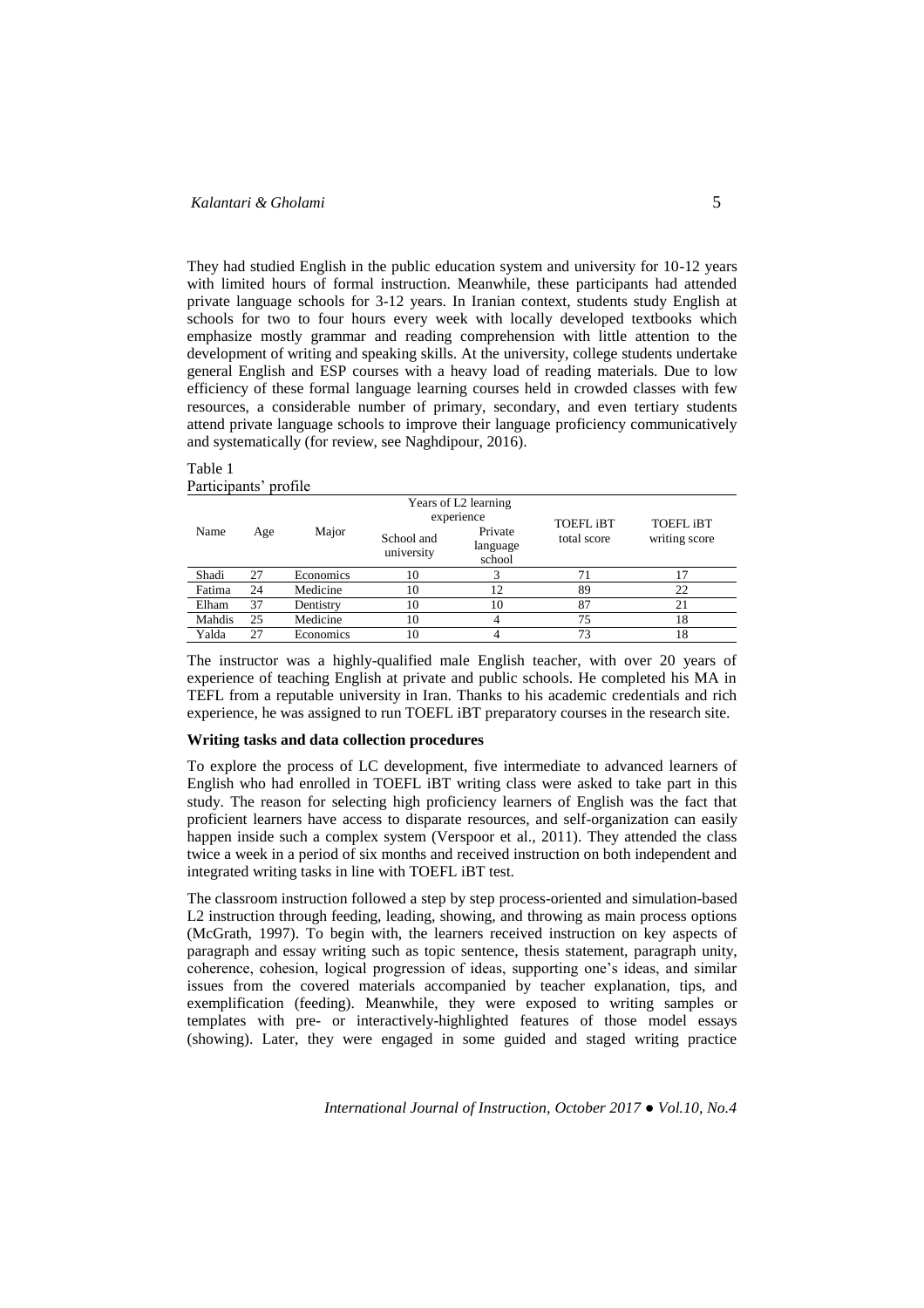They had studied English in the public education system and university for 10-12 years with limited hours of formal instruction. Meanwhile, these participants had attended private language schools for 3-12 years. In Iranian context, students study English at schools for two to four hours every week with locally developed textbooks which emphasize mostly grammar and reading comprehension with little attention to the development of writing and speaking skills. At the university, college students undertake general English and ESP courses with a heavy load of reading materials. Due to low efficiency of these formal language learning courses held in crowded classes with few resources, a considerable number of primary, secondary, and even tertiary students attend private language schools to improve their language proficiency communicatively and systematically (for review, see Naghdipour, 2016).

Table 1 Participants' profile

|        |     |           |                          | Years of L2 learning<br>experience | <b>TOEFL iBT</b> | <b>TOEFL iBT</b> |  |
|--------|-----|-----------|--------------------------|------------------------------------|------------------|------------------|--|
| Name   | Age | Major     | School and<br>university | Private<br>language<br>school      | total score      | writing score    |  |
| Shadi  | 27  | Economics | 10                       |                                    | 71               | 17               |  |
| Fatima | 24  | Medicine  | 10                       | 12                                 | 89               | 22               |  |
| Elham  | 37  | Dentistry | 10                       | 10                                 | 87               | 21               |  |
| Mahdis | 25  | Medicine  | 10                       |                                    | 75               | 18               |  |
| Yalda  | 27  | Economics | 10                       |                                    | 73               | 18               |  |

The instructor was a highly-qualified male English teacher, with over 20 years of experience of teaching English at private and public schools. He completed his MA in TEFL from a reputable university in Iran. Thanks to his academic credentials and rich experience, he was assigned to run TOEFL iBT preparatory courses in the research site.

## **Writing tasks and data collection procedures**

To explore the process of LC development, five intermediate to advanced learners of English who had enrolled in TOEFL iBT writing class were asked to take part in this study. The reason for selecting high proficiency learners of English was the fact that proficient learners have access to disparate resources, and self-organization can easily happen inside such a complex system (Verspoor et al., 2011). They attended the class twice a week in a period of six months and received instruction on both independent and integrated writing tasks in line with TOEFL iBT test.

The classroom instruction followed a step by step process-oriented and simulation-based L2 instruction through feeding, leading, showing, and throwing as main process options (McGrath, 1997). To begin with, the learners received instruction on key aspects of paragraph and essay writing such as topic sentence, thesis statement, paragraph unity, coherence, cohesion, logical progression of ideas, supporting one's ideas, and similar issues from the covered materials accompanied by teacher explanation, tips, and exemplification (feeding). Meanwhile, they were exposed to writing samples or templates with pre- or interactively-highlighted features of those model essays (showing). Later, they were engaged in some guided and staged writing practice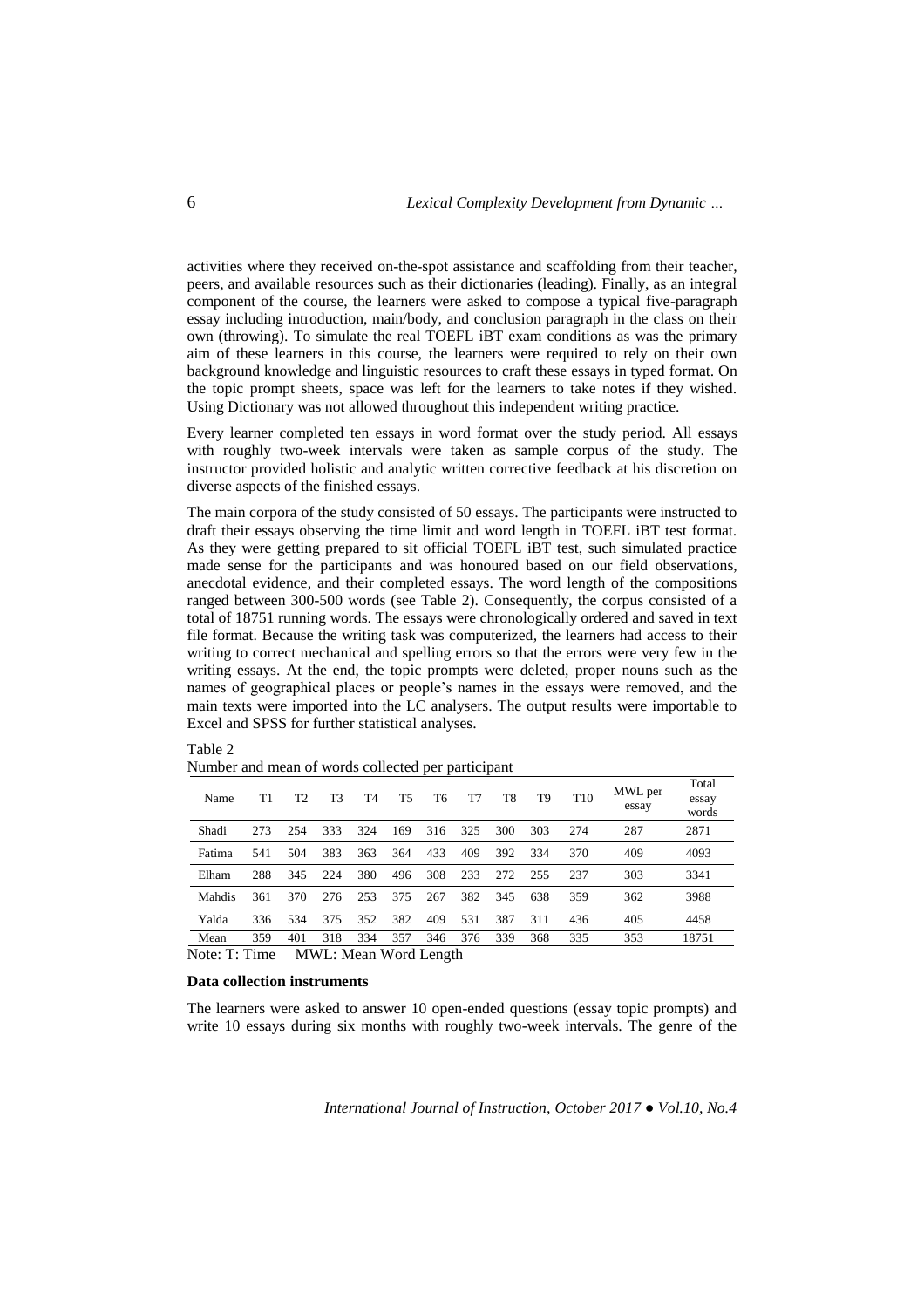activities where they received on-the-spot assistance and scaffolding from their teacher, peers, and available resources such as their dictionaries (leading). Finally, as an integral component of the course, the learners were asked to compose a typical five-paragraph essay including introduction, main/body, and conclusion paragraph in the class on their own (throwing). To simulate the real TOEFL iBT exam conditions as was the primary aim of these learners in this course, the learners were required to rely on their own background knowledge and linguistic resources to craft these essays in typed format. On the topic prompt sheets, space was left for the learners to take notes if they wished. Using Dictionary was not allowed throughout this independent writing practice.

Every learner completed ten essays in word format over the study period. All essays with roughly two-week intervals were taken as sample corpus of the study. The instructor provided holistic and analytic written corrective feedback at his discretion on diverse aspects of the finished essays.

The main corpora of the study consisted of 50 essays. The participants were instructed to draft their essays observing the time limit and word length in TOEFL iBT test format. As they were getting prepared to sit official TOEFL iBT test, such simulated practice made sense for the participants and was honoured based on our field observations, anecdotal evidence, and their completed essays. The word length of the compositions ranged between 300-500 words (see Table 2). Consequently, the corpus consisted of a total of 18751 running words. The essays were chronologically ordered and saved in text file format. Because the writing task was computerized, the learners had access to their writing to correct mechanical and spelling errors so that the errors were very few in the writing essays. At the end, the topic prompts were deleted, proper nouns such as the names of geographical places or people's names in the essays were removed, and the main texts were imported into the LC analysers. The output results were importable to Excel and SPSS for further statistical analyses.

| Name   | Τ1  | T <sub>2</sub> | T3  | T4  | T <sub>5</sub> | T <sub>6</sub> | T7  | T8  | T9  | T <sub>10</sub> | MWL per<br>essay | Total<br>essay<br>words |
|--------|-----|----------------|-----|-----|----------------|----------------|-----|-----|-----|-----------------|------------------|-------------------------|
| Shadi  | 273 | 254            | 333 | 324 | 169            | 316            | 325 | 300 | 303 | 274             | 287              | 2871                    |
| Fatima | 541 | 504            | 383 | 363 | 364            | 433            | 409 | 392 | 334 | 370             | 409              | 4093                    |
| Elham  | 288 | 345            | 224 | 380 | 496            | 308            | 233 | 272 | 255 | 237             | 303              | 3341                    |
| Mahdis | 361 | 370            | 276 | 253 | 375            | 267            | 382 | 345 | 638 | 359             | 362              | 3988                    |
| Yalda  | 336 | 534            | 375 | 352 | 382            | 409            | 531 | 387 | 311 | 436             | 405              | 4458                    |
| Mean   | 359 | 401            | 318 | 334 | 357            | 346            | 376 | 339 | 368 | 335             | 353              | 18751                   |

Table 2 Number and mean of words collected per participant

Note: T: Time MWL: Mean Word Length

# **Data collection instruments**

The learners were asked to answer 10 open-ended questions (essay topic prompts) and write 10 essays during six months with roughly two-week intervals. The genre of the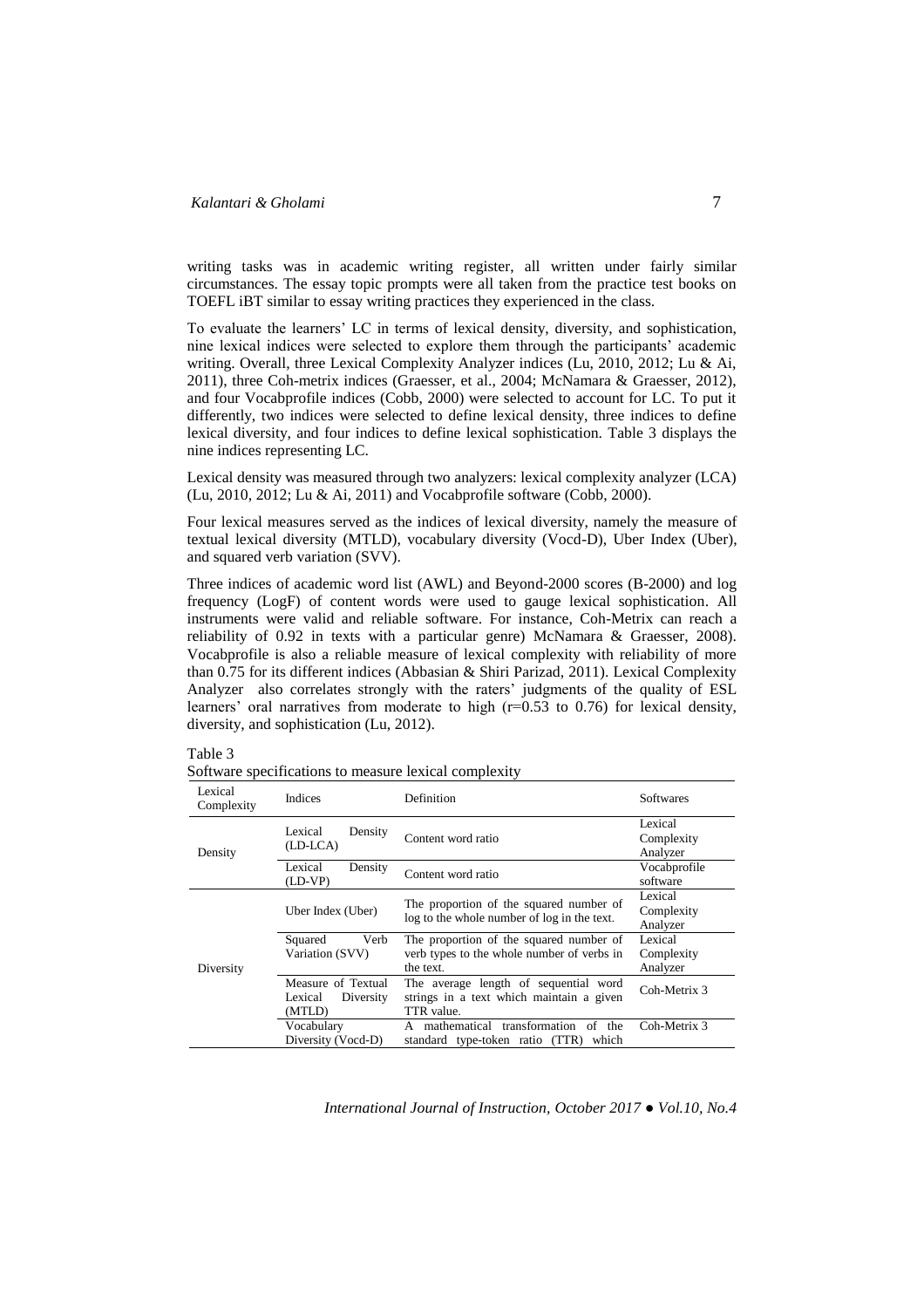writing tasks was in academic writing register, all written under fairly similar circumstances. The essay topic prompts were all taken from the practice test books on TOEFL iBT similar to essay writing practices they experienced in the class.

To evaluate the learners' LC in terms of lexical density, diversity, and sophistication, nine lexical indices were selected to explore them through the participants' academic writing. Overall, three Lexical Complexity Analyzer indices (Lu, 2010, 2012; Lu & Ai, 2011), three Coh-metrix indices (Graesser, et al., 2004; McNamara & Graesser, 2012), and four Vocabprofile indices (Cobb, 2000) were selected to account for LC. To put it differently, two indices were selected to define lexical density, three indices to define lexical diversity, and four indices to define lexical sophistication. Table 3 displays the nine indices representing LC.

Lexical density was measured through two analyzers: lexical complexity analyzer (LCA) (Lu, 2010, 2012; Lu & Ai, 2011) and Vocabprofile software (Cobb, 2000).

Four lexical measures served as the indices of lexical diversity, namely the measure of textual lexical diversity (MTLD), vocabulary diversity (Vocd-D), Uber Index (Uber), and squared verb variation (SVV).

Three indices of academic word list (AWL) and Beyond-2000 scores (B-2000) and log frequency (LogF) of content words were used to gauge lexical sophistication. All instruments were valid and reliable software. For instance, Coh-Metrix can reach a reliability of 0.92 in texts with a particular genre) McNamara & Graesser, 2008). Vocabprofile is also a reliable measure of lexical complexity with reliability of more than 0.75 for its different indices (Abbasian & Shiri Parizad, 2011). Lexical Complexity Analyzer also correlates strongly with the raters' judgments of the quality of ESL learners' oral narratives from moderate to high  $(r=0.53$  to 0.76) for lexical density, diversity, and sophistication (Lu, 2012).

|  | able |  |
|--|------|--|
|--|------|--|

| Software specifications to measure lexical complexity |  |  |
|-------------------------------------------------------|--|--|
|                                                       |  |  |

| Lexical<br>Complexity | <b>Indices</b>                                       | <b>Definition</b>                                                                                  | <b>Softwares</b>                  |
|-----------------------|------------------------------------------------------|----------------------------------------------------------------------------------------------------|-----------------------------------|
| Density               | Lexical<br>Density<br>(LD-LCA)                       | Content word ratio                                                                                 | Lexical<br>Complexity<br>Analyzer |
|                       | Lexical<br>Density<br>$(LD-VP)$                      | Content word ratio                                                                                 | Vocabprofile<br>software          |
|                       | Uber Index (Uber)                                    | The proportion of the squared number of<br>log to the whole number of log in the text.             | Lexical<br>Complexity<br>Analyzer |
| Diversity             | Squared<br>Verb<br>Variation (SVV)                   | The proportion of the squared number of<br>verb types to the whole number of verbs in<br>the text. | Lexical<br>Complexity<br>Analyzer |
|                       | Measure of Textual<br>Lexical<br>Diversity<br>(MTLD) | The average length of sequential word<br>strings in a text which maintain a given<br>TTR value.    | Coh-Metrix 3                      |
|                       | Vocabulary<br>Diversity (Vocd-D)                     | A mathematical transformation<br>of the<br>standard type-token ratio (TTR)<br>which                | Coh-Metrix 3                      |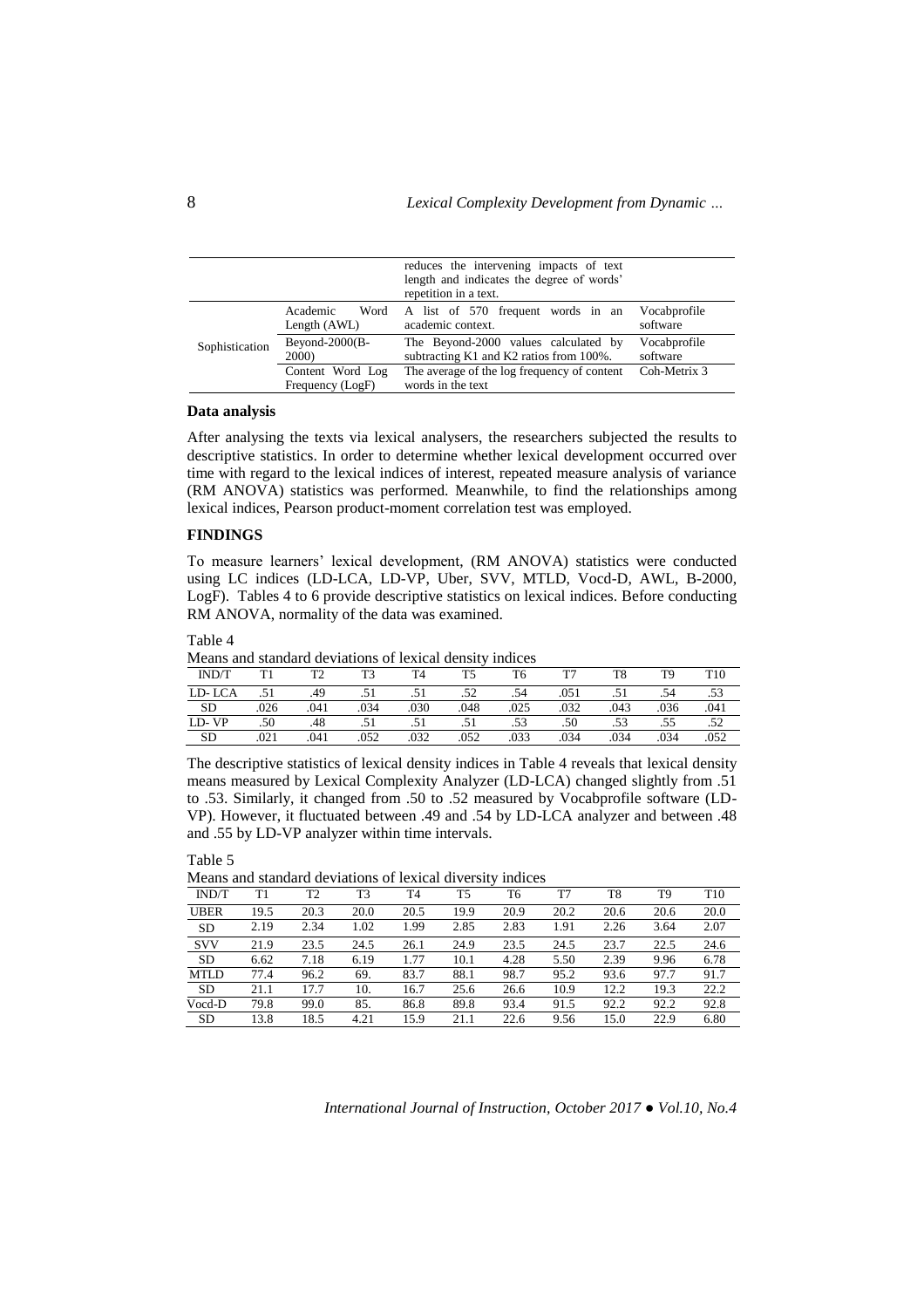|                |                                  | reduces the intervening impacts of text<br>length and indicates the degree of words'<br>repetition in a text. |                          |
|----------------|----------------------------------|---------------------------------------------------------------------------------------------------------------|--------------------------|
|                | Academic<br>Word<br>Length (AWL) | A list of 570 frequent words in an<br>academic context.                                                       | Vocabprofile<br>software |
| Sophistication | Beyond-2000(B-<br><b>2000</b> )  | The Beyond-2000 values calculated by<br>subtracting K1 and K2 ratios from 100%.                               | Vocabprofile<br>software |
|                | Content Word Log                 | The average of the log frequency of content                                                                   | Coh-Metrix 3             |
|                | Frequency (LogF)                 | words in the text                                                                                             |                          |

## **Data analysis**

After analysing the texts via lexical analysers, the researchers subjected the results to descriptive statistics. In order to determine whether lexical development occurred over time with regard to the lexical indices of interest, repeated measure analysis of variance (RM ANOVA) statistics was performed. Meanwhile, to find the relationships among lexical indices, Pearson product-moment correlation test was employed.

# **FINDINGS**

To measure learners' lexical development, (RM ANOVA) statistics were conducted using LC indices (LD-LCA, LD-VP, Uber, SVV, MTLD, Vocd-D, AWL, B-2000, LogF). Tables 4 to 6 provide descriptive statistics on lexical indices. Before conducting RM ANOVA, normality of the data was examined.

# Table 4

Table 5

Means and standard deviations of lexical density indices

| <b>IND/T</b> |      |      | ፐን   | T4   |        |      |      |       | TQ   | T10  |
|--------------|------|------|------|------|--------|------|------|-------|------|------|
| LD-LCA       |      | .49  | . پ  | .51  | .52    | .54  | .051 | ر ر., | .54  | ر ر. |
| <b>SD</b>    | .026 | .041 | .034 | .030 | .048   | .025 | .032 | .043  | .036 | .041 |
| LD-VP        | .50  | .48  | ٠. ت | .5 I | $\sim$ | .53  | .50  | .53   | ככ.  | ے ب  |
| <b>SD</b>    | .021 | .041 | .052 | .032 | .052   | .033 | .034 | .034  | .034 | .052 |

The descriptive statistics of lexical density indices in Table 4 reveals that lexical density means measured by Lexical Complexity Analyzer (LD-LCA) changed slightly from .51 to .53. Similarly, it changed from .50 to .52 measured by Vocabprofile software (LD-VP). However, it fluctuated between .49 and .54 by LD-LCA analyzer and between .48 and .55 by LD-VP analyzer within time intervals.

|             | Means and standard deviations of lexical diversity indices |                |                |                |                |                |                |                |      |                 |  |
|-------------|------------------------------------------------------------|----------------|----------------|----------------|----------------|----------------|----------------|----------------|------|-----------------|--|
| IND/T       |                                                            | T <sub>2</sub> | T <sub>3</sub> | T <sub>4</sub> | T <sub>5</sub> | T <sub>6</sub> | T <sub>7</sub> | T <sub>8</sub> | T9   | T <sub>10</sub> |  |
| <b>UBER</b> | 19.5                                                       | 20.3           | 20.0           | 20.5           | 19.9           | 20.9           | 20.2           | 20.6           | 20.6 | 20.0            |  |
| <b>SD</b>   | 2.19                                                       | 2.34           | 1.02           | 1.99           | 2.85           | 2.83           | 1.91           | 2.26           | 3.64 | 2.07            |  |
| <b>SVV</b>  | 21.9                                                       | 23.5           | 24.5           | 26.1           | 24.9           | 23.5           | 24.5           | 23.7           | 22.5 | 24.6            |  |
| <b>SD</b>   | 6.62                                                       | 7.18           | 6.19           | 1.77           | 10.1           | 4.28           | 5.50           | 2.39           | 9.96 | 6.78            |  |
| <b>MTLD</b> | 77.4                                                       | 96.2           | 69.            | 83.7           | 88.1           | 98.7           | 95.2           | 93.6           | 97.7 | 91.7            |  |
| <b>SD</b>   | 21.1                                                       | 17.7           | 10.            | 16.7           | 25.6           | 26.6           | 10.9           | 12.2           | 19.3 | 22.2            |  |
| Vocd-D      | 79.8                                                       | 99.0           | 85.            | 86.8           | 89.8           | 93.4           | 91.5           | 92.2           | 92.2 | 92.8            |  |
| <b>SD</b>   | 13.8                                                       | 18.5           | 4.21           | 15.9           | 21.1           | 22.6           | 9.56           | 15.0           | 22.9 | 6.80            |  |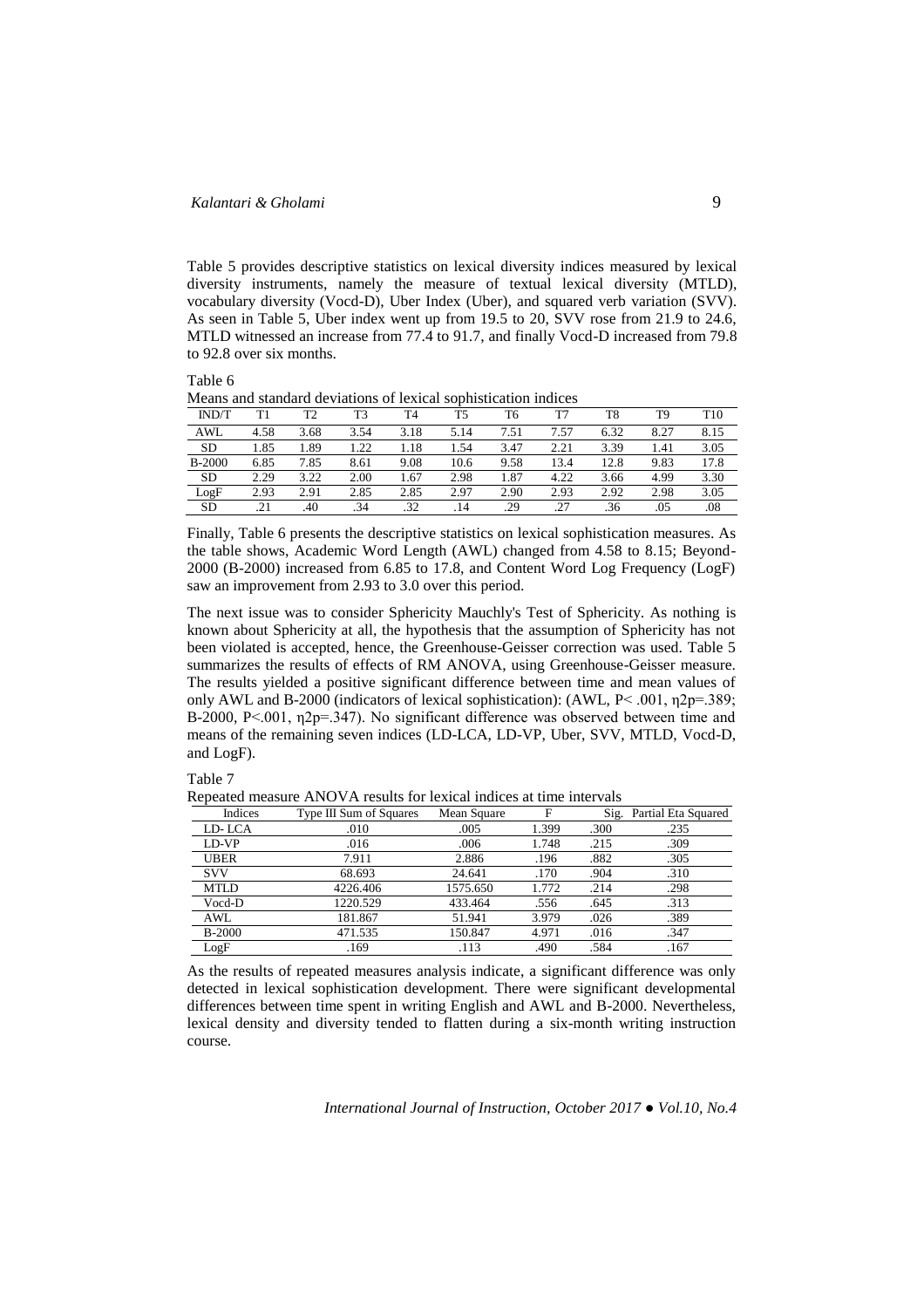Table 5 provides descriptive statistics on lexical diversity indices measured by lexical diversity instruments, namely the measure of textual lexical diversity (MTLD), vocabulary diversity (Vocd-D), Uber Index (Uber), and squared verb variation (SVV). As seen in Table 5, Uber index went up from 19.5 to 20, SVV rose from 21.9 to 24.6, MTLD witnessed an increase from 77.4 to 91.7, and finally Vocd-D increased from 79.8 to 92.8 over six months.

Table 6

Means and standard deviations of lexical sophistication indices

| IND/T         |      | T <sub>2</sub> | T <sub>3</sub>  | T4   | T5   | T6   |      | T8   | T9   | T <sub>10</sub> |
|---------------|------|----------------|-----------------|------|------|------|------|------|------|-----------------|
| AWL           | 4.58 | 3.68           | 3.54            | 3.18 | 5.14 | 7.51 | 7.57 | 6.32 | 8.27 | 8.15            |
| <b>SD</b>     | 1.85 | 1.89           | $\overline{22}$ | 1.18 | 1.54 | 3.47 | 2.21 | 3.39 | 1.41 | 3.05            |
| <b>B-2000</b> | 6.85 | 7.85           | 8.61            | 9.08 | 10.6 | 9.58 | 13.4 | 12.8 | 9.83 | 17.8            |
| <b>SD</b>     | 2.29 | 3.22           | 2.00            | 1.67 | 2.98 | 1.87 | 4.22 | 3.66 | 4.99 | 3.30            |
| LogF          | 2.93 | 2.91           | 2.85            | 2.85 | 2.97 | 2.90 | 2.93 | 2.92 | 2.98 | 3.05            |
| <b>SD</b>     | .21  | .40            | .34             | .32  | .14  | .29  | .27  | .36  | .05  | .08             |

Finally, Table 6 presents the descriptive statistics on lexical sophistication measures. As the table shows, Academic Word Length (AWL) changed from 4.58 to 8.15; Beyond-2000 (B-2000) increased from 6.85 to 17.8, and Content Word Log Frequency (LogF) saw an improvement from 2.93 to 3.0 over this period.

The next issue was to consider Sphericity Mauchly's Test of Sphericity. As nothing is known about Sphericity at all, the hypothesis that the assumption of Sphericity has not been violated is accepted, hence, the Greenhouse-Geisser correction was used. Table 5 summarizes the results of effects of RM ANOVA, using Greenhouse-Geisser measure. The results yielded a positive significant difference between time and mean values of only AWL and B-2000 (indicators of lexical sophistication): (AWL, P< .001, η2p=.389; B-2000, P<.001, η2p=.347). No significant difference was observed between time and means of the remaining seven indices (LD-LCA, LD-VP, Uber, SVV, MTLD, Vocd-D, and LogF).

Table 7

Repeated measure ANOVA results for lexical indices at time intervals

| $\overline{\phantom{a}}$ |                         |             |       |      |                     |
|--------------------------|-------------------------|-------------|-------|------|---------------------|
| Indices                  | Type III Sum of Squares | Mean Square | F     | Sig. | Partial Eta Squared |
| LD-LCA                   | .010                    | .005        | 1.399 | .300 | .235                |
| LD-VP                    | .016                    | .006        | 1.748 | .215 | .309                |
| <b>UBER</b>              | 7.911                   | 2.886       | .196  | .882 | .305                |
| <b>SVV</b>               | 68.693                  | 24.641      | .170  | .904 | .310                |
| <b>MTLD</b>              | 4226.406                | 1575.650    | 1.772 | .214 | .298                |
| Vocd-D                   | 1220.529                | 433.464     | .556  | .645 | .313                |
| AWL                      | 181.867                 | 51.941      | 3.979 | .026 | .389                |
| <b>B-2000</b>            | 471.535                 | 150.847     | 4.971 | .016 | .347                |
| LogF                     | .169                    | .113        | .490  | .584 | .167                |

As the results of repeated measures analysis indicate, a significant difference was only detected in lexical sophistication development. There were significant developmental differences between time spent in writing English and AWL and B-2000. Nevertheless, lexical density and diversity tended to flatten during a six-month writing instruction course.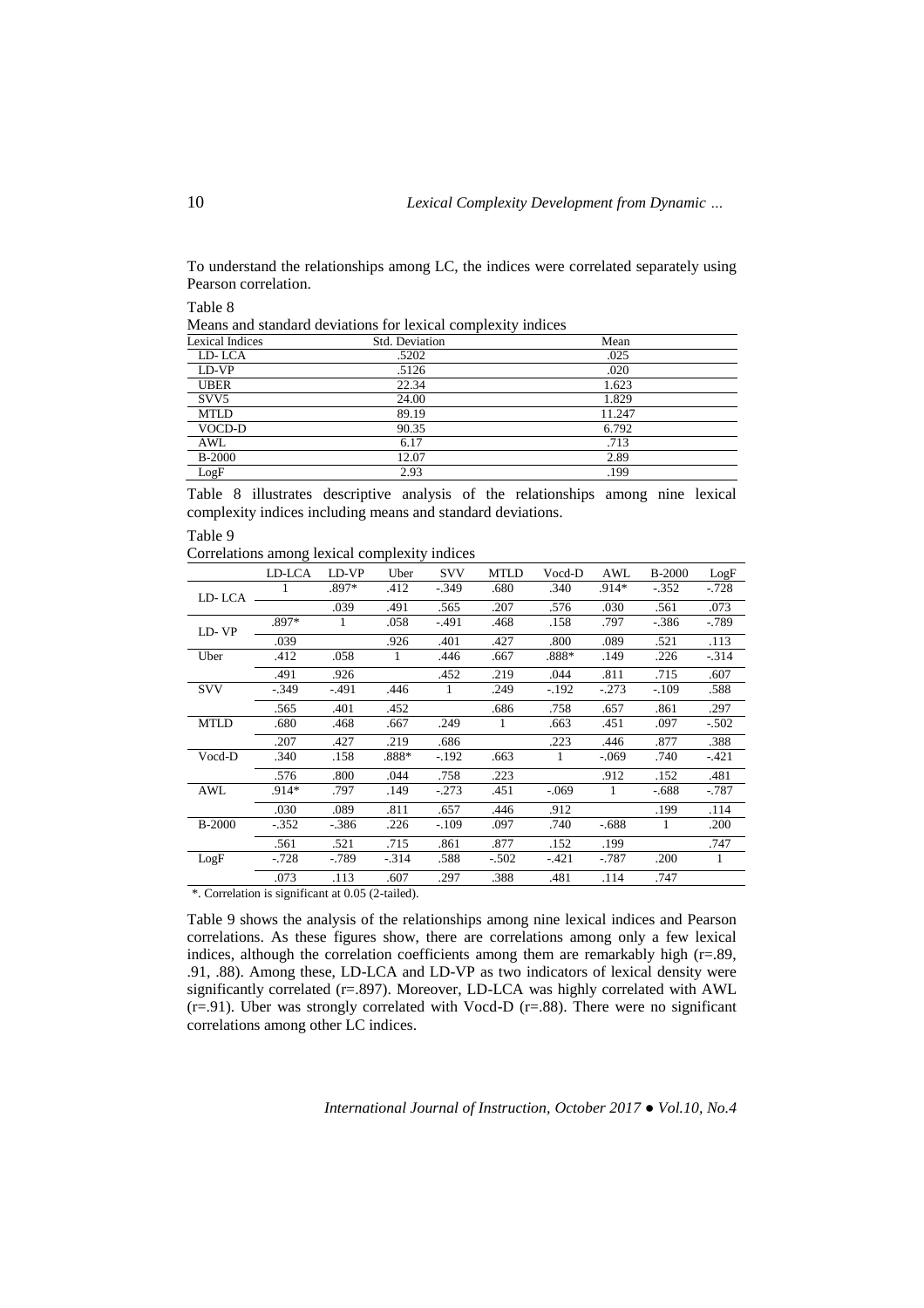To understand the relationships among LC, the indices were correlated separately using Pearson correlation.

|                  | Means and standard deviations for lexical complexity indices |        |
|------------------|--------------------------------------------------------------|--------|
| Lexical Indices  | Std. Deviation                                               | Mean   |
| LD-LCA           | .5202                                                        | .025   |
| $LD-VP$          | .5126                                                        | .020   |
| <b>UBER</b>      | 22.34                                                        | 1.623  |
| SVV <sub>5</sub> | 24.00                                                        | 1.829  |
| <b>MTLD</b>      | 89.19                                                        | 11.247 |
| VOCD-D           | 90.35                                                        | 6.792  |
| AWL              | 6.17                                                         | .713   |
| <b>B-2000</b>    | 12.07                                                        | 2.89   |
| LogF             | 2.93                                                         | .199   |

| Means and standard deviations for lexical complexity indices |  |  |  |  |
|--------------------------------------------------------------|--|--|--|--|
|--------------------------------------------------------------|--|--|--|--|

Table 8 illustrates descriptive analysis of the relationships among nine lexical complexity indices including means and standard deviations.

| Table 9                                       |  |
|-----------------------------------------------|--|
| Correlations among lexical complexity indices |  |

|               | LD-LCA  | LD-VP   | Uber    | <b>SVV</b> | <b>MTLD</b> | Vocd-D  | AWL     | <b>B-2000</b> | LogF    |
|---------------|---------|---------|---------|------------|-------------|---------|---------|---------------|---------|
| LD-LCA        |         | .897*   | .412    | $-.349$    | .680        | .340    | $.914*$ | $-.352$       | $-.728$ |
|               |         | .039    | .491    | .565       | .207        | .576    | .030    | .561          | .073    |
| LD-VP         | .897*   | 1       | .058    | $-.491$    | .468        | .158    | .797    | $-386$        | $-789$  |
|               | .039    |         | .926    | .401       | .427        | .800    | .089    | .521          | .113    |
| Uber          | .412    | .058    | 1       | .446       | .667        | $.888*$ | .149    | .226          | $-314$  |
|               | .491    | .926    |         | .452       | .219        | .044    | .811    | .715          | .607    |
| <b>SVV</b>    | $-.349$ | $-.491$ | .446    | 1          | .249        | $-.192$ | $-.273$ | $-.109$       | .588    |
|               | .565    | .401    | .452    |            | .686        | .758    | .657    | .861          | .297    |
| <b>MTLD</b>   | .680    | .468    | .667    | .249       | 1           | .663    | .451    | .097          | $-.502$ |
|               | .207    | .427    | .219    | .686       |             | .223    | .446    | .877          | .388    |
| Vocd-D        | .340    | .158    | $.888*$ | $-.192$    | .663        |         | $-.069$ | .740          | $-.421$ |
|               | .576    | .800    | .044    | .758       | .223        |         | .912    | .152          | .481    |
| <b>AWL</b>    | $.914*$ | .797    | .149    | $-.273$    | .451        | $-.069$ | 1       | $-.688$       | $-.787$ |
|               | .030    | .089    | .811    | .657       | .446        | .912    |         | .199          | .114    |
| <b>B-2000</b> | $-.352$ | $-386$  | .226    | $-.109$    | .097        | .740    | $-.688$ | 1             | .200    |
|               | .561    | .521    | .715    | .861       | .877        | .152    | .199    |               | .747    |
| LogF          | $-.728$ | $-789$  | $-314$  | .588       | $-.502$     | $-421$  | $-.787$ | .200          | 1       |
| a ser         | .073    | .113    | .607    | .297       | .388        | .481    | .114    | .747          |         |

\*. Correlation is significant at 0.05 (2-tailed).

Table 9 shows the analysis of the relationships among nine lexical indices and Pearson correlations. As these figures show, there are correlations among only a few lexical indices, although the correlation coefficients among them are remarkably high (r=.89, .91, .88). Among these, LD-LCA and LD-VP as two indicators of lexical density were significantly correlated (r=.897). Moreover, LD-LCA was highly correlated with AWL (r=.91). Uber was strongly correlated with Vocd-D (r=.88). There were no significant correlations among other LC indices.

*International Journal of Instruction, October 2017 ● Vol.10, No.4*

Table 8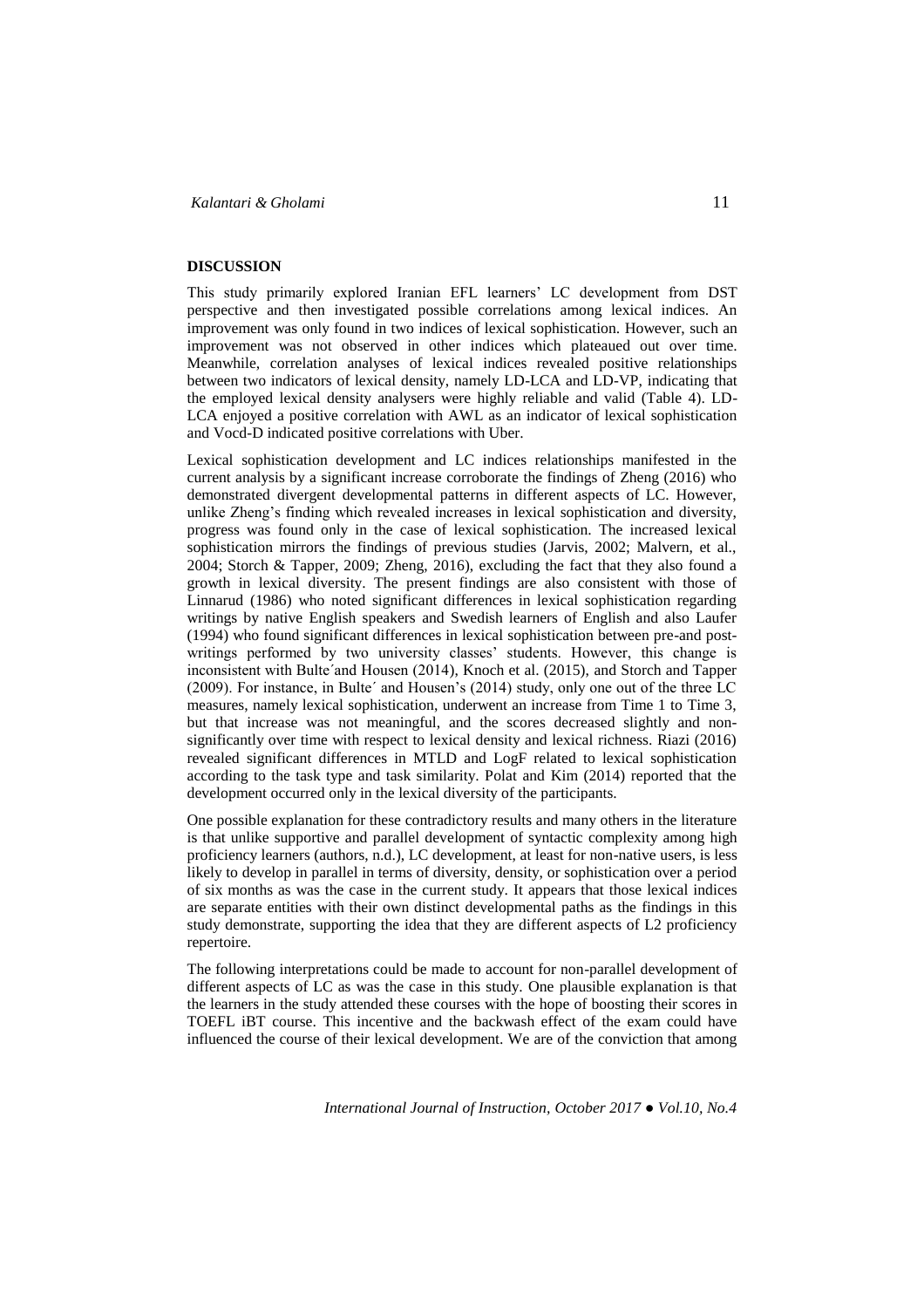# **DISCUSSION**

This study primarily explored Iranian EFL learners' LC development from DST perspective and then investigated possible correlations among lexical indices. An improvement was only found in two indices of lexical sophistication. However, such an improvement was not observed in other indices which plateaued out over time. Meanwhile, correlation analyses of lexical indices revealed positive relationships between two indicators of lexical density, namely LD-LCA and LD-VP, indicating that the employed lexical density analysers were highly reliable and valid (Table 4). LD-LCA enjoyed a positive correlation with AWL as an indicator of lexical sophistication and Vocd-D indicated positive correlations with Uber.

Lexical sophistication development and LC indices relationships manifested in the current analysis by a significant increase corroborate the findings of Zheng (2016) who demonstrated divergent developmental patterns in different aspects of LC. However, unlike Zheng's finding which revealed increases in lexical sophistication and diversity, progress was found only in the case of lexical sophistication. The increased lexical sophistication mirrors the findings of previous studies (Jarvis, 2002; Malvern, et al., 2004; Storch & Tapper, 2009; Zheng, 2016), excluding the fact that they also found a growth in lexical diversity. The present findings are also consistent with those of Linnarud (1986) who noted significant differences in lexical sophistication regarding writings by native English speakers and Swedish learners of English and also Laufer (1994) who found significant differences in lexical sophistication between pre-and postwritings performed by two university classes' students. However, this change is inconsistent with Bulte´and Housen (2014), Knoch et al. (2015), and Storch and Tapper (2009). For instance, in Bulte´ and Housen's (2014) study, only one out of the three LC measures, namely lexical sophistication, underwent an increase from Time 1 to Time 3, but that increase was not meaningful, and the scores decreased slightly and nonsignificantly over time with respect to lexical density and lexical richness. Riazi (2016) revealed significant differences in MTLD and LogF related to lexical sophistication according to the task type and task similarity. Polat and Kim (2014) reported that the development occurred only in the lexical diversity of the participants.

One possible explanation for these contradictory results and many others in the literature is that unlike supportive and parallel development of syntactic complexity among high proficiency learners (authors, n.d.), LC development, at least for non-native users, is less likely to develop in parallel in terms of diversity, density, or sophistication over a period of six months as was the case in the current study. It appears that those lexical indices are separate entities with their own distinct developmental paths as the findings in this study demonstrate, supporting the idea that they are different aspects of L2 proficiency repertoire.

The following interpretations could be made to account for non-parallel development of different aspects of LC as was the case in this study. One plausible explanation is that the learners in the study attended these courses with the hope of boosting their scores in TOEFL iBT course. This incentive and the backwash effect of the exam could have influenced the course of their lexical development. We are of the conviction that among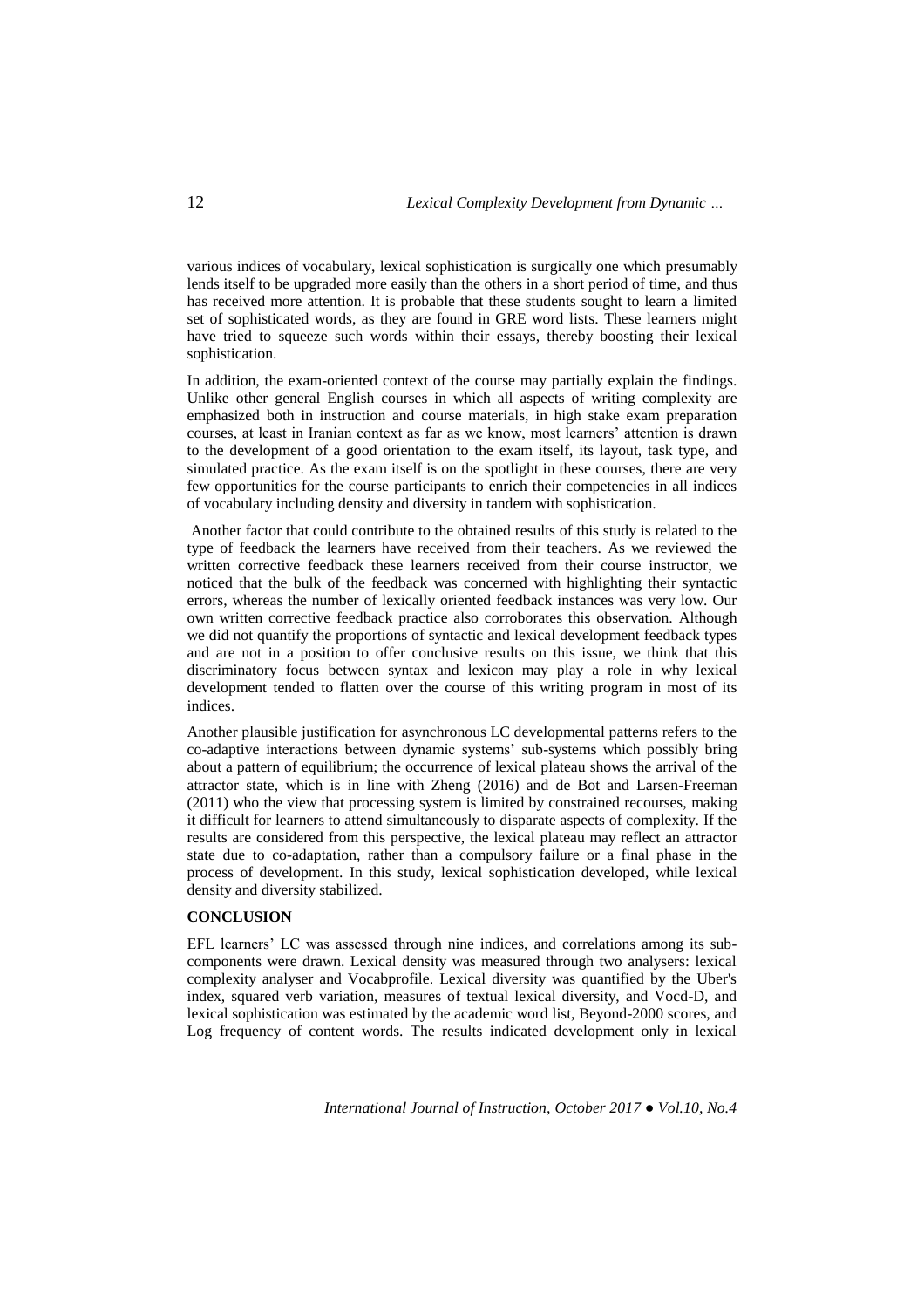various indices of vocabulary, lexical sophistication is surgically one which presumably lends itself to be upgraded more easily than the others in a short period of time, and thus has received more attention. It is probable that these students sought to learn a limited set of sophisticated words, as they are found in GRE word lists. These learners might have tried to squeeze such words within their essays, thereby boosting their lexical sophistication.

In addition, the exam-oriented context of the course may partially explain the findings. Unlike other general English courses in which all aspects of writing complexity are emphasized both in instruction and course materials, in high stake exam preparation courses, at least in Iranian context as far as we know, most learners' attention is drawn to the development of a good orientation to the exam itself, its layout, task type, and simulated practice. As the exam itself is on the spotlight in these courses, there are very few opportunities for the course participants to enrich their competencies in all indices of vocabulary including density and diversity in tandem with sophistication.

Another factor that could contribute to the obtained results of this study is related to the type of feedback the learners have received from their teachers. As we reviewed the written corrective feedback these learners received from their course instructor, we noticed that the bulk of the feedback was concerned with highlighting their syntactic errors, whereas the number of lexically oriented feedback instances was very low. Our own written corrective feedback practice also corroborates this observation. Although we did not quantify the proportions of syntactic and lexical development feedback types and are not in a position to offer conclusive results on this issue, we think that this discriminatory focus between syntax and lexicon may play a role in why lexical development tended to flatten over the course of this writing program in most of its indices.

Another plausible justification for asynchronous LC developmental patterns refers to the co-adaptive interactions between dynamic systems' sub-systems which possibly bring about a pattern of equilibrium; the occurrence of lexical plateau shows the arrival of the attractor state, which is in line with Zheng (2016) and de Bot and Larsen-Freeman (2011) who the view that processing system is limited by constrained recourses, making it difficult for learners to attend simultaneously to disparate aspects of complexity. If the results are considered from this perspective, the lexical plateau may reflect an attractor state due to co-adaptation, rather than a compulsory failure or a final phase in the process of development. In this study, lexical sophistication developed, while lexical density and diversity stabilized.

# **CONCLUSION**

EFL learners' LC was assessed through nine indices, and correlations among its subcomponents were drawn. Lexical density was measured through two analysers: lexical complexity analyser and Vocabprofile. Lexical diversity was quantified by the Uber's index, squared verb variation, measures of textual lexical diversity, and Vocd-D, and lexical sophistication was estimated by the academic word list, Beyond-2000 scores, and Log frequency of content words. The results indicated development only in lexical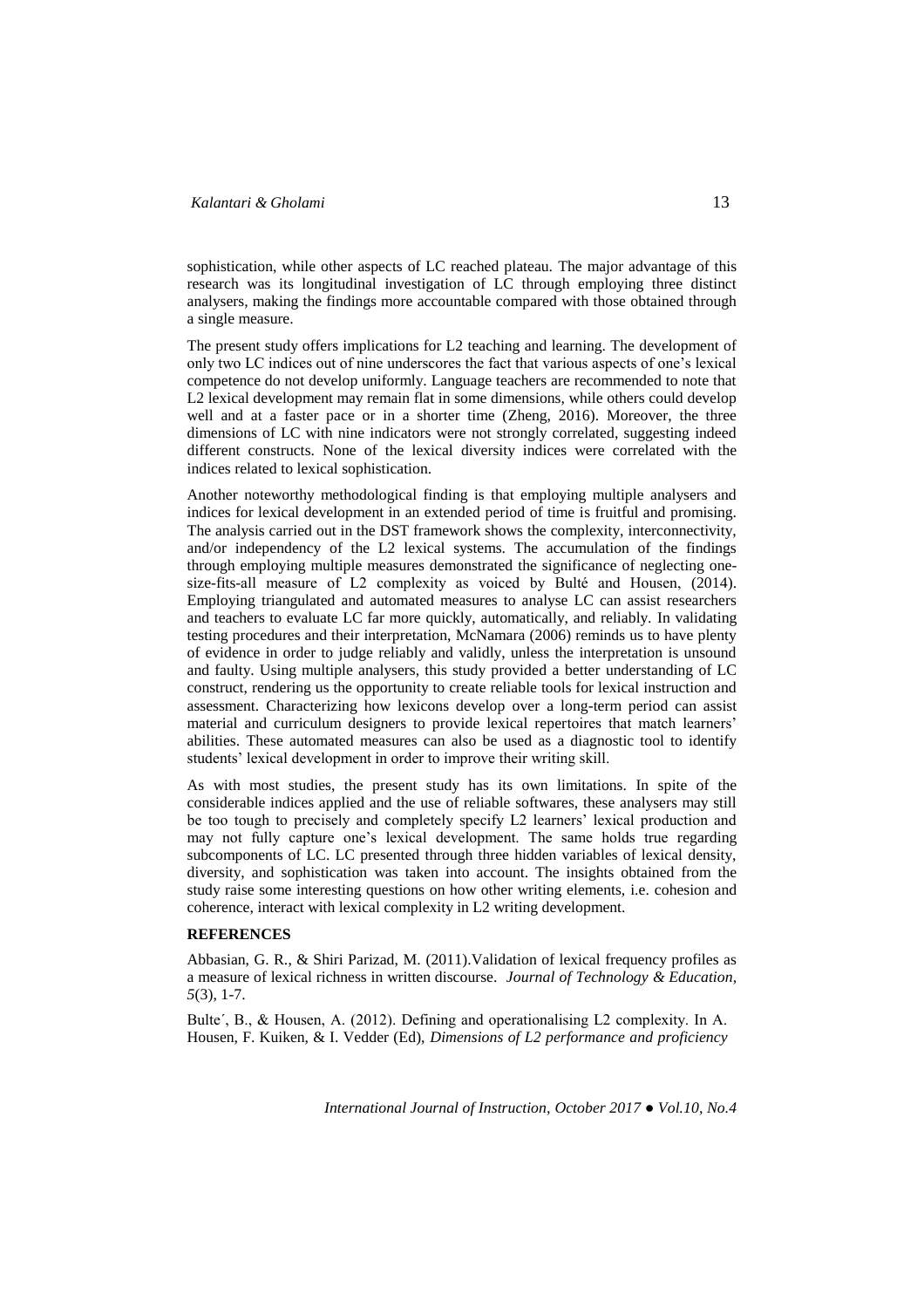sophistication, while other aspects of LC reached plateau. The major advantage of this research was its longitudinal investigation of LC through employing three distinct analysers, making the findings more accountable compared with those obtained through a single measure.

The present study offers implications for L2 teaching and learning. The development of only two LC indices out of nine underscores the fact that various aspects of one's lexical competence do not develop uniformly. Language teachers are recommended to note that L2 lexical development may remain flat in some dimensions, while others could develop well and at a faster pace or in a shorter time (Zheng, 2016). Moreover, the three dimensions of LC with nine indicators were not strongly correlated, suggesting indeed different constructs. None of the lexical diversity indices were correlated with the indices related to lexical sophistication.

Another noteworthy methodological finding is that employing multiple analysers and indices for lexical development in an extended period of time is fruitful and promising. The analysis carried out in the DST framework shows the complexity, interconnectivity, and/or independency of the L2 lexical systems. The accumulation of the findings through employing multiple measures demonstrated the significance of neglecting onesize-fits-all measure of L2 complexity as voiced by Bulté and Housen, (2014). Employing triangulated and automated measures to analyse LC can assist researchers and teachers to evaluate LC far more quickly, automatically, and reliably. In validating testing procedures and their interpretation, McNamara (2006) reminds us to have plenty of evidence in order to judge reliably and validly, unless the interpretation is unsound and faulty. Using multiple analysers, this study provided a better understanding of LC construct, rendering us the opportunity to create reliable tools for lexical instruction and assessment. Characterizing how lexicons develop over a long-term period can assist material and curriculum designers to provide lexical repertoires that match learners' abilities. These automated measures can also be used as a diagnostic tool to identify students' lexical development in order to improve their writing skill.

As with most studies, the present study has its own limitations. In spite of the considerable indices applied and the use of reliable softwares, these analysers may still be too tough to precisely and completely specify L2 learners' lexical production and may not fully capture one's lexical development. The same holds true regarding subcomponents of LC. LC presented through three hidden variables of lexical density, diversity, and sophistication was taken into account. The insights obtained from the study raise some interesting questions on how other writing elements, i.e. cohesion and coherence, interact with lexical complexity in L2 writing development.

## **REFERENCES**

Abbasian, G. R., & Shiri Parizad, M. (2011).Validation of lexical frequency profiles as a measure of lexical richness in written discourse. *Journal of Technology & Education, 5*(3), 1-7.

Bulte´, B., & Housen, A. (2012). Defining and operationalising L2 complexity. In A. Housen, F. Kuiken, & I. Vedder (Ed), *Dimensions of L2 performance and proficiency*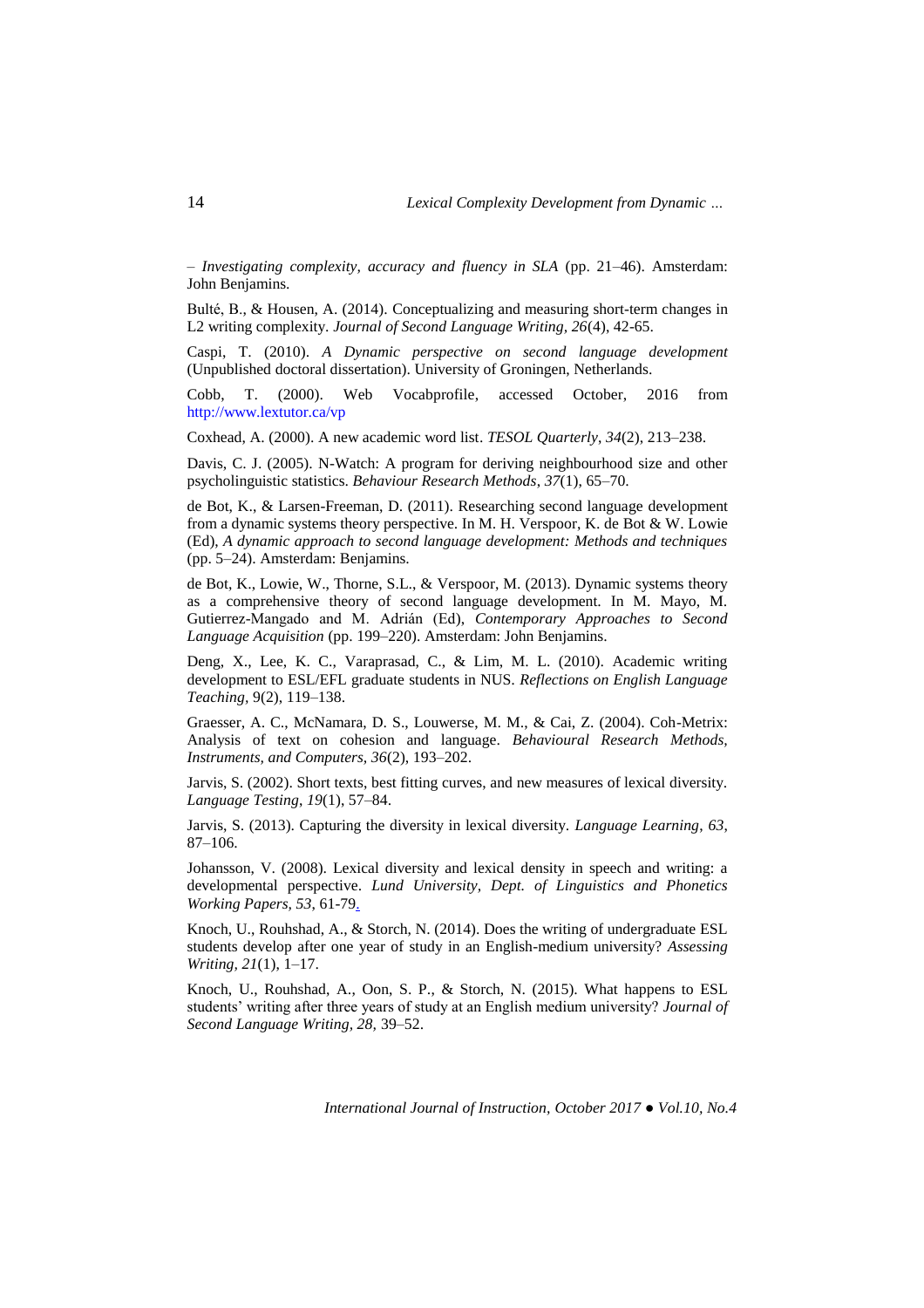*– Investigating complexity, accuracy and fluency in SLA* (pp. 21–46). Amsterdam: John Benjamins.

Bulté, B., & Housen, A. (2014). Conceptualizing and measuring short-term changes in L2 writing complexity. *Journal of Second Language Writing, 26*(4), 42-65.

Caspi, T. (2010). *A Dynamic perspective on second language development* (Unpublished doctoral dissertation). University of Groningen, Netherlands.

Cobb, T. (2000). Web Vocabprofile, accessed October, 2016 from <http://www.lextutor.ca/vp>

Coxhead, A. (2000). A new academic word list. *TESOL Quarterly*, *34*(2), 213–238.

Davis, C. J. (2005). N-Watch: A program for deriving neighbourhood size and other psycholinguistic statistics. *Behaviour Research Methods*, *37*(1), 65–70.

de Bot, K., & Larsen-Freeman, D. (2011). Researching second language development from a dynamic systems theory perspective. In M. H. Verspoor, K. de Bot & W. Lowie (Ed), *A dynamic approach to second language development: Methods and techniques*  (pp. 5–24). Amsterdam: Benjamins.

de Bot, K., Lowie, W., Thorne, S.L., & Verspoor, M. (2013). Dynamic systems theory as a comprehensive theory of second language development. In M. Mayo, M. Gutierrez-Mangado and M. Adrián (Ed), *Contemporary Approaches to Second Language Acquisition* (pp. 199–220). Amsterdam: John Benjamins.

Deng, X., Lee, K. C., Varaprasad, C., & Lim, M. L. (2010). Academic writing development to ESL/EFL graduate students in NUS*. Reflections on English Language Teaching,* 9(2), 119–138.

Graesser, A. C., McNamara, D. S., Louwerse, M. M., & Cai, Z. (2004). Coh-Metrix: Analysis of text on cohesion and language. *Behavioural Research Methods, Instruments, and Computers, 36*(2), 193–202.

Jarvis, S. (2002). Short texts, best fitting curves, and new measures of lexical diversity. *Language Testing*, *19*(1), 57–84[.](https://doi.org/10.1111/j.1467-9922.2012.00739.x) 

Jarvis, S. (2013). Capturing the diversity in lexical diversity. *Language Learning*, *63*, 87–106.

Johansson, V. (2008). Lexical diversity and lexical density in speech and writing: a developmental perspective. *Lund University, Dept. of Linguistics and Phonetics Working Papers, 53*, 61-79.

Knoch, U., Rouhshad, A., & Storch, N. (2014). Does the writing of undergraduate ESL students develop after one year of study in an English-medium university? *Assessing Writing, 21*(1), 1–17.

Knoch, U., Rouhshad, A., Oon, S. P., & Storch, N. (2015). What happens to ESL students' writing after three years of study at an English medium university? *Journal of Second Language Writing, 28,* 39–52.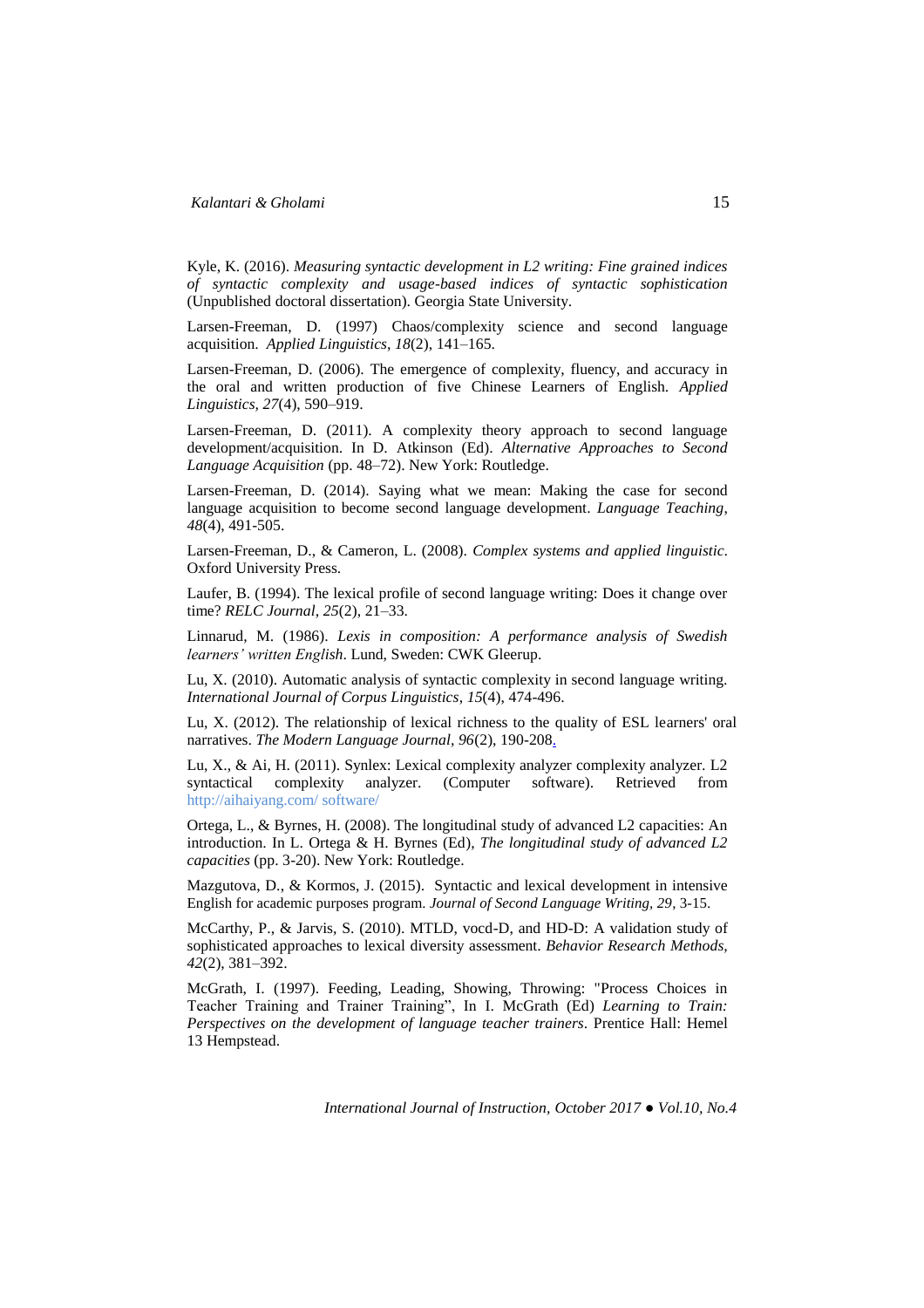Kyle, K. (2016). *Measuring syntactic development in L2 writing: Fine grained indices of syntactic complexity and usage-based indices of syntactic sophistication* (Unpublished doctoral dissertation). Georgia State University.

Larsen-Freeman, D. (1997) Chaos/complexity science and second language acquisition. *Applied Linguistics*, *18*(2), 141–165.

Larsen-Freeman, D. (2006). The emergence of complexity, fluency, and accuracy in the oral and written production of five Chinese Learners of English. *Applied Linguistics, 27*(4), 590–919.

Larsen-Freeman, D. (2011). A complexity theory approach to second language development/acquisition. In D. Atkinson (Ed). *Alternative Approaches to Second Language Acquisition* (pp. 48–72). New York: Routledge.

Larsen-Freeman, D. (2014). [Saying what we mean: Making the case for second](http://dx.doi.org/10.1017/S0261444814000019)  [language acquisition to become second language development.](http://dx.doi.org/10.1017/S0261444814000019) *Language Teaching*, *48*(4), 491-505.

Larsen-Freeman, D., & Cameron, L. (2008). *Complex systems and applied linguistic*. Oxford University Press.

Laufer, B. (1994). The lexical profile of second language writing: Does it change over time? *RELC Journal*, *25*(2), 21–33.

Linnarud, M. (1986). *Lexis in composition: A performance analysis of Swedish learners' written English*. Lund, Sweden: CWK Gleerup.

Lu, X. (2010). Automatic analysis of syntactic complexity in second language writing. *International Journal of Corpus Linguistics*, *15*(4), 474-496.

Lu, X. (2012). The relationship of lexical richness to the quality of ESL learners' oral narratives. *The Modern Language Journal, 96*(2), 190-208.

Lu, X., & Ai, H. (2011). Synlex: Lexical complexity analyzer complexity analyzer. L2 syntactical complexity analyzer. (Computer software). Retrieved from syntactical complexity analyzer. (Computer software). Retrieved from http://aihaiyang.com/ software/

Ortega, L., & Byrnes, H. (2008). The longitudinal study of advanced L2 capacities: An introduction. In L. Ortega & H. Byrnes (Ed), *The longitudinal study of advanced L2 capacities* (pp. 3-20). New York: Routledge.

Mazgutova, D., & Kormos, J. (2015). Syntactic and lexical development in intensive English for academic purposes program. *Journal of Second Language Writing, 29*, 3-15.

McCarthy, P., & Jarvis, S. (2010). MTLD, vocd-D, and HD-D: A validation study of sophisticated approaches to lexical diversity assessment. *Behavior Research Methods, 42*(2), 381–392.

McGrath, I. (1997). Feeding, Leading, Showing, Throwing: "Process Choices in Teacher Training and Trainer Training", In I. McGrath (Ed) *Learning to Train: Perspectives on the development of language teacher trainers*. Prentice Hall: Hemel 13 Hempstead.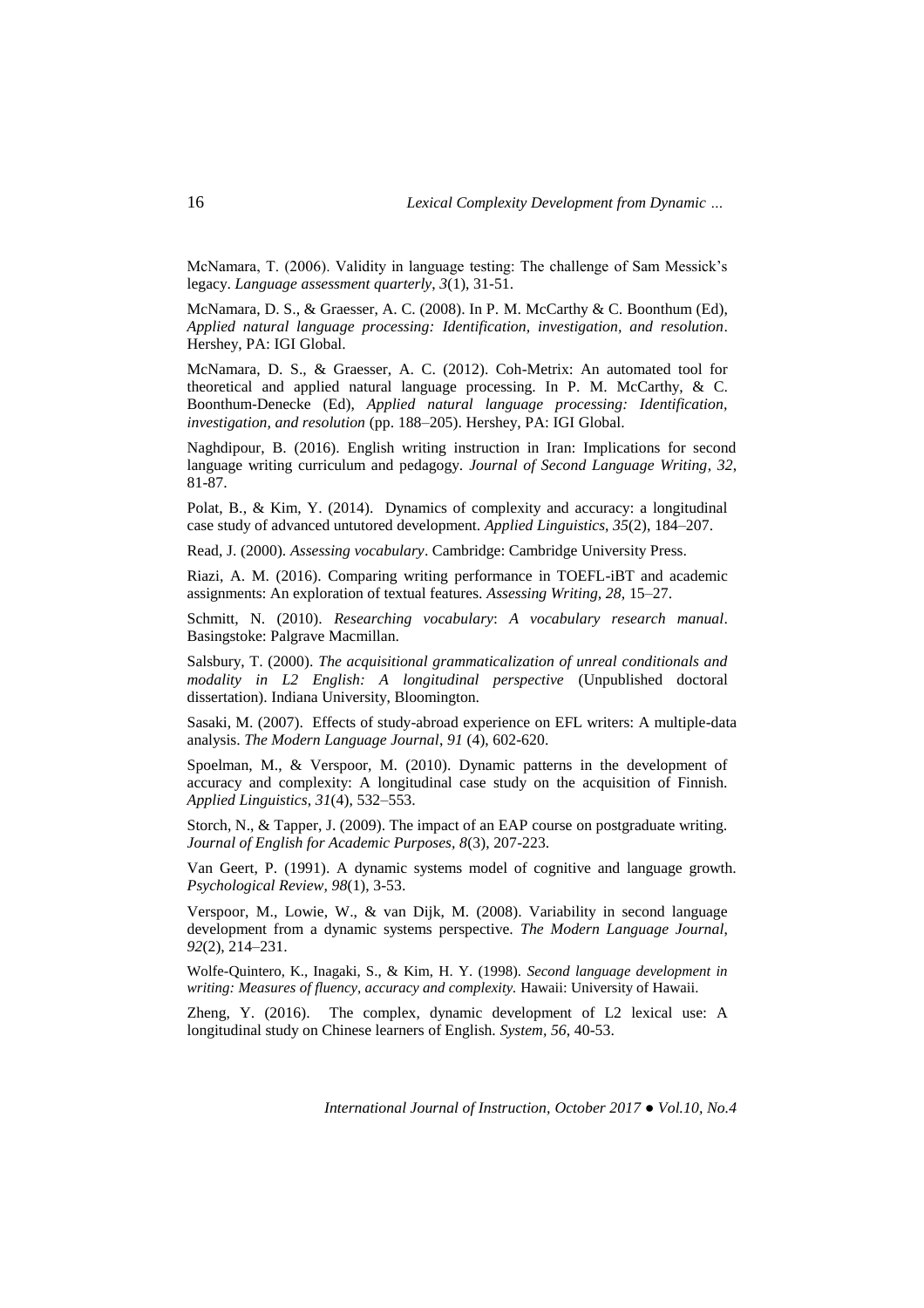McNamara, T. (2006). Validity in language testing: The challenge of Sam Messick's legacy. *Language assessment quarterly*, *3*(1), 31-51.

McNamara, D. S., & Graesser, A. C. (2008). In P. M. McCarthy & C. Boonthum (Ed), *Applied natural language processing: Identification, investigation, and resolution*. Hershey, PA: IGI Global.

McNamara, D. S., & Graesser, A. C. (2012). Coh-Metrix: An automated tool for theoretical and applied natural language processing. In P. M. McCarthy, & C. Boonthum-Denecke (Ed), *Applied natural language processing: Identification, investigation, and resolution* (pp. 188–205). Hershey, PA: IGI Global.

Naghdipour, B. (2016). English writing instruction in Iran: Implications for second language writing curriculum and pedagogy. *Journal of Second Language Writing*, *32*, 81-87.

Polat, B., & Kim, Y. (2014). Dynamics of complexity and accuracy: a longitudinal case study of advanced untutored development. *Applied Linguistics*, *35*(2), 184–207.

Read, J. (2000). *Assessing vocabulary*. Cambridge: Cambridge University Press.

Riazi, A. M. (2016). Comparing writing performance in TOEFL-iBT and academic assignments: An exploration of textual features. *Assessing Writing, 28,* 15–27.

Schmitt, N. (2010). *Researching vocabulary*: *A vocabulary research manual*. Basingstoke: Palgrave Macmillan.

Salsbury, T. (2000). *The acquisitional grammaticalization of unreal conditionals and modality in L2 English: A longitudinal perspective* (Unpublished doctoral dissertation). Indiana University, Bloomington.

Sasaki, M. (2007). Effects of study-abroad experience on EFL writers: A multiple-data analysis. *The Modern Language Journal*, *91* (4), 602-620.

Spoelman, M., & Verspoor, M. (2010). Dynamic patterns in the development of accuracy and complexity: A longitudinal case study on the acquisition of Finnish. *Applied Linguistics*, *31*(4), 532–553.

Storch, N., & Tapper, J. (2009). The impact of an EAP course on postgraduate writing. *Journal of English for Academic Purposes, 8*(3), 207-223.

Van Geert, P. (1991). A dynamic systems model of cognitive and language growth. *Psychological Review, 98*(1), 3-53.

Verspoor, M., Lowie, W., & van Dijk, M. (2008). Variability in second language development from a dynamic systems perspective. *The Modern Language Journal*, *92*(2), 214–231.

Wolfe-Quintero, K., Inagaki, S., & Kim, H. Y. (1998). *Second language development in writing: Measures of fluency, accuracy and complexity.* Hawaii: University of Hawaii.

Zheng, Y. (2016). The complex, dynamic development of L2 lexical use: A longitudinal study on Chinese learners of English. *System, 56*, 40-53.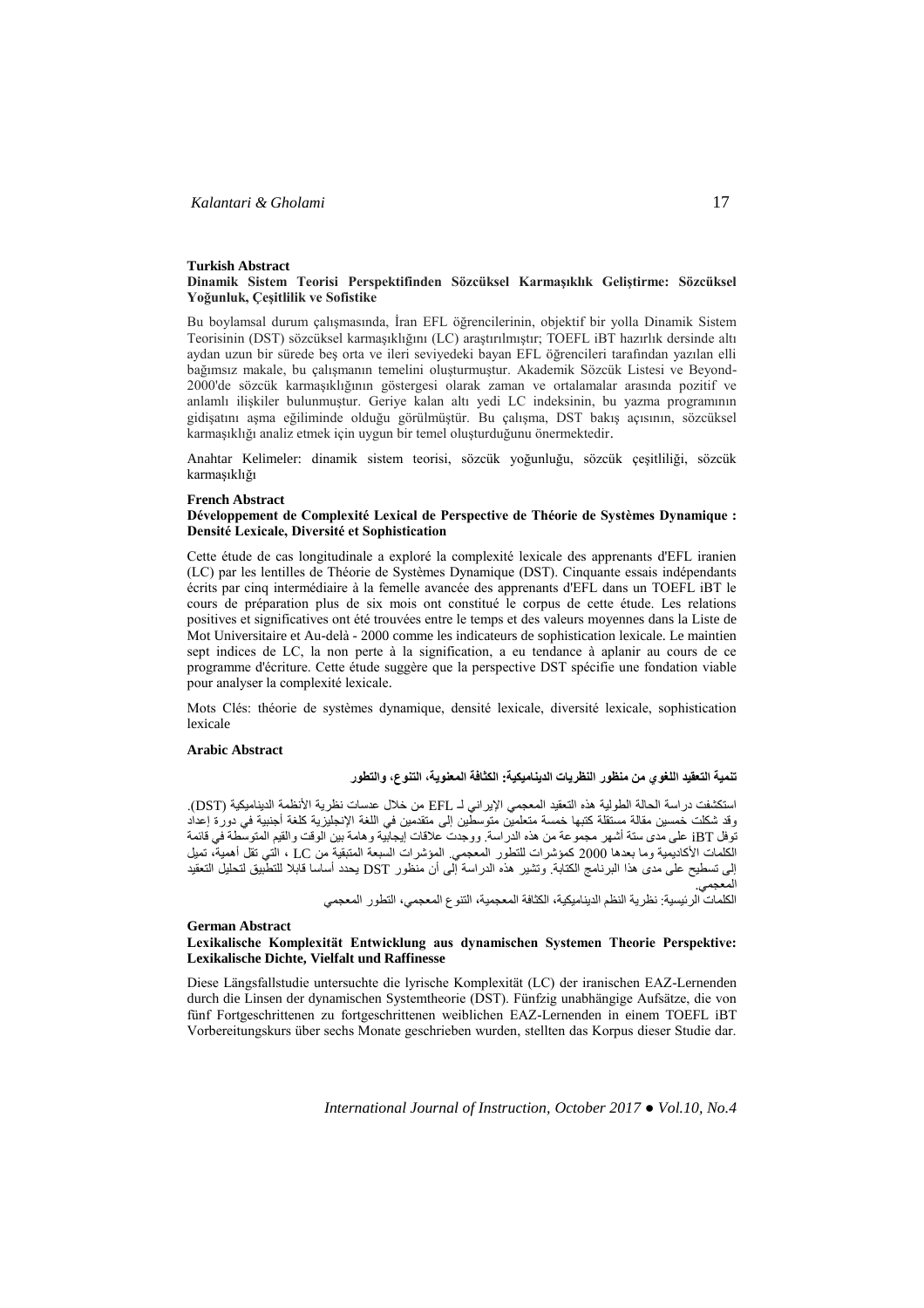#### **Turkish Abstract Dinamik Sistem Teorisi Perspektifinden Sözcüksel Karmaşıklık Geliştirme: Sözcüksel Yoğunluk, Çeşitlilik ve Sofistike**

Bu boylamsal durum çalışmasında, İran EFL öğrencilerinin, objektif bir yolla Dinamik Sistem Teorisinin (DST) sözcüksel karmaşıklığını (LC) araştırılmıştır; TOEFL iBT hazırlık dersinde altı aydan uzun bir sürede beş orta ve ileri seviyedeki bayan EFL öğrencileri tarafından yazılan elli bağımsız makale, bu çalışmanın temelini oluşturmuştur. Akademik Sözcük Listesi ve Beyond-2000'de sözcük karmaşıklığının göstergesi olarak zaman ve ortalamalar arasında pozitif ve anlamlı ilişkiler bulunmuştur. Geriye kalan altı yedi LC indeksinin, bu yazma programının gidişatını aşma eğiliminde olduğu görülmüştür. Bu çalışma, DST bakış açısının, sözcüksel karmaşıklığı analiz etmek için uygun bir temel oluşturduğunu önermektedir.

Anahtar Kelimeler: dinamik sistem teorisi, sözcük yoğunluğu, sözcük çeşitliliği, sözcük karmaşıklığı

#### **French Abstract**

### **Développement de Complexité Lexical de Perspective de Théorie de Systèmes Dynamique : Densité Lexicale, Diversité et Sophistication**

Cette étude de cas longitudinale a exploré la complexité lexicale des apprenants d'EFL iranien (LC) par les lentilles de Théorie de Systèmes Dynamique (DST). Cinquante essais indépendants écrits par cinq intermédiaire à la femelle avancée des apprenants d'EFL dans un TOEFL iBT le cours de préparation plus de six mois ont constitué le corpus de cette étude. Les relations positives et significatives ont été trouvées entre le temps et des valeurs moyennes dans la Liste de Mot Universitaire et Au-delà - 2000 comme les indicateurs de sophistication lexicale. Le maintien sept indices de LC, la non perte à la signification, a eu tendance à aplanir au cours de ce programme d'écriture. Cette étude suggère que la perspective DST spécifie une fondation viable pour analyser la complexité lexicale.

Mots Clés: théorie de systèmes dynamique, densité lexicale, diversité lexicale, sophistication lexicale

#### **Arabic Abstract**

# **تنمية التعقيد اللغوي من منظور النظريات الديناميكية: الكثافة المعنوية، التنوع، والتطور**

استكشفت دراسة الحالة الطولية هذه التعقيد المعجمي اإليراني لـ EFL من خالل عدسات نظرية األنظمة الديناميكية )DST). وقد شكلت خمسين مقالة مستقلة كتبها خمسة متعلمين متوسطين إلى متقدمين في اللغة اإلنجليزية كلغة أجنبية في دورة إعداد توفل iBT على مدى ستة أشهر مجموعة من هذه الدراسة. ووجدت عالقات إيجابية وهامة بين الوقت والقيم المتوسطة في قائمة الكلمات األكاديمية وما بعدها 0222 كمؤشرات للتطور المعجمي. المؤشرات السبعة المتبقية من LC ، التي تقل أهمية، تميل إلى تسطيح على مدى هذا البرنامج الكتابة. وتشير هذه الدراسة إلى أن منظور DST يحدد أساسا قابال للتطبيق لتحليل التعقيد المعجمي.

الكلمات الرئيسية: نظرية النظم الديناميكية، الكثافة المعجمية، التنوع المعجمي، التطور المعجمي

#### **German Abstract**

## **Lexikalische Komplexität Entwicklung aus dynamischen Systemen Theorie Perspektive: Lexikalische Dichte, Vielfalt und Raffinesse**

Diese Längsfallstudie untersuchte die lyrische Komplexität (LC) der iranischen EAZ-Lernenden durch die Linsen der dynamischen Systemtheorie (DST). Fünfzig unabhängige Aufsätze, die von fünf Fortgeschrittenen zu fortgeschrittenen weiblichen EAZ-Lernenden in einem TOEFL iBT Vorbereitungskurs über sechs Monate geschrieben wurden, stellten das Korpus dieser Studie dar.